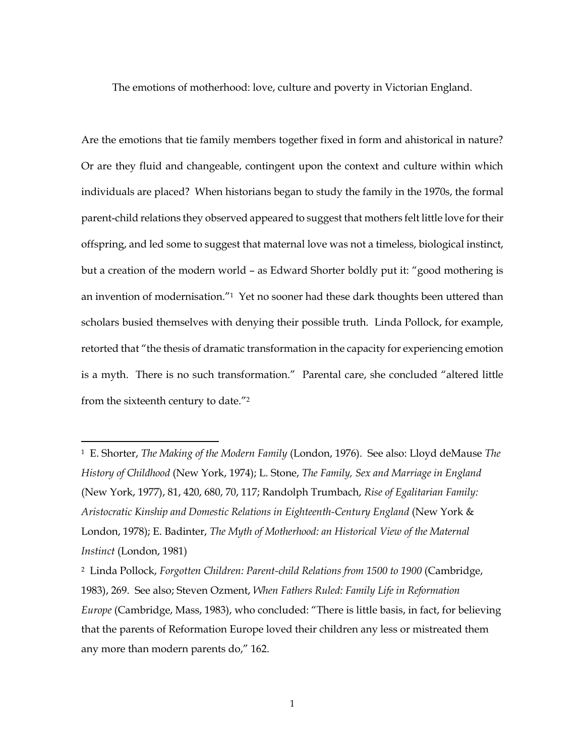The emotions of motherhood: love, culture and poverty in Victorian England.

Are the emotions that tie family members together fixed in form and ahistorical in nature? Or are they fluid and changeable, contingent upon the context and culture within which individuals are placed? When historians began to study the family in the 1970s, the formal parent-child relations they observed appeared to suggest that mothers felt little love for their offspring, and led some to suggest that maternal love was not a timeless, biological instinct, but a creation of the modern world – as Edward Shorter boldly put it: "good mothering is an invention of modernisation."<sup>1</sup> Yet no sooner had these dark thoughts been uttered than scholars busied themselves with denying their possible truth. Linda Pollock, for example, retorted that "the thesis of dramatic transformation in the capacity for experiencing emotion is a myth. There is no such transformation." Parental care, she concluded "altered little from the sixteenth century to date."<sup>2</sup>

<sup>1</sup> E. Shorter, *The Making of the Modern Family* (London, 1976). See also: Lloyd deMause *The History of Childhood* (New York, 1974); L. Stone, *The Family, Sex and Marriage in England* (New York, 1977), 81, 420, 680, 70, 117; Randolph Trumbach, *Rise of Egalitarian Family: Aristocratic Kinship and Domestic Relations in Eighteenth-Century England* (New York & London, 1978); E. Badinter, *The Myth of Motherhood: an Historical View of the Maternal Instinct* (London, 1981)

<sup>2</sup> Linda Pollock, *Forgotten Children: Parent-child Relations from 1500 to 1900* (Cambridge, 1983), 269. See also; Steven Ozment, *When Fathers Ruled: Family Life in Reformation Europe* (Cambridge, Mass, 1983), who concluded: "There is little basis, in fact, for believing that the parents of Reformation Europe loved their children any less or mistreated them any more than modern parents do," 162.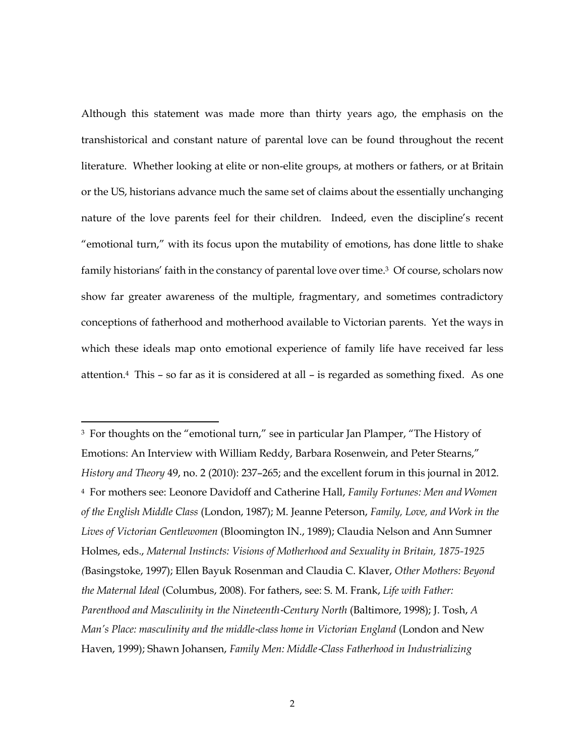Although this statement was made more than thirty years ago, the emphasis on the transhistorical and constant nature of parental love can be found throughout the recent literature. Whether looking at elite or non-elite groups, at mothers or fathers, or at Britain or the US, historians advance much the same set of claims about the essentially unchanging nature of the love parents feel for their children. Indeed, even the discipline's recent "emotional turn," with its focus upon the mutability of emotions, has done little to shake family historians' faith in the constancy of parental love over time. <sup>3</sup> Of course, scholars now show far greater awareness of the multiple, fragmentary, and sometimes contradictory conceptions of fatherhood and motherhood available to Victorian parents. Yet the ways in which these ideals map onto emotional experience of family life have received far less attention.4 This – so far as it is considered at all – is regarded as something fixed. As one

<sup>3</sup> For thoughts on the "emotional turn," see in particular Jan Plamper, "The History of Emotions: An Interview with William Reddy, Barbara Rosenwein, and Peter Stearns," *History and Theory* 49, no. 2 (2010): 237–265; and the excellent forum in this journal in 2012. <sup>4</sup> For mothers see: Leonore Davidoff and Catherine Hall, *Family Fortunes: Men and Women of the English Middle Class* (London, 1987); M. Jeanne Peterson, *Family, Love, and Work in the Lives of Victorian Gentlewomen* (Bloomington IN., 1989); Claudia Nelson and Ann Sumner Holmes, eds., *Maternal Instincts: Visions of Motherhood and Sexuality in Britain, 1875-1925 (*Basingstoke, 1997); Ellen Bayuk Rosenman and Claudia C. Klaver, *Other Mothers: Beyond the Maternal Ideal* (Columbus, 2008). For fathers, see: S. M. Frank, *Life with Father: Parenthood and Masculinity in the Nineteenth*‐*Century North* (Baltimore, 1998); J. Tosh, *A Man's Place: masculinity and the middle*‐*class home in Victorian England* (London and New Haven, 1999); Shawn Johansen, *Family Men: Middle*‐*Class Fatherhood in Industrializing*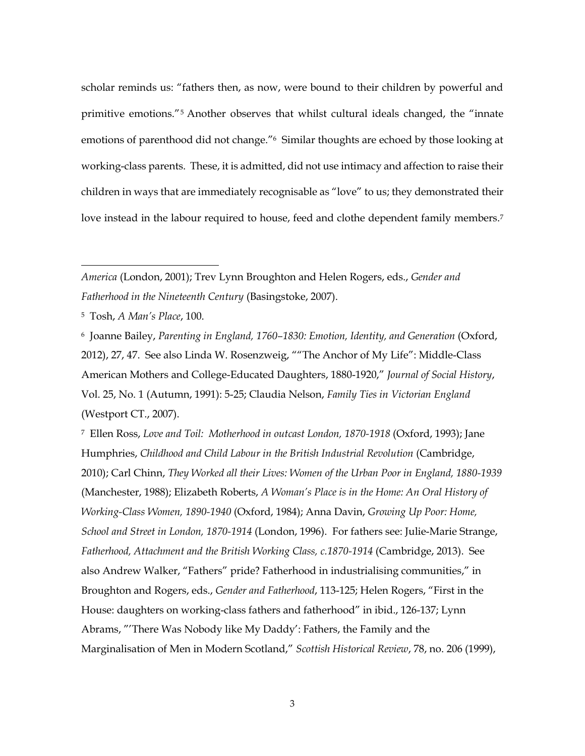scholar reminds us: "fathers then, as now, were bound to their children by powerful and primitive emotions."<sup>5</sup> Another observes that whilst cultural ideals changed, the "innate emotions of parenthood did not change."6 Similar thoughts are echoed by those looking at working-class parents. These, it is admitted, did not use intimacy and affection to raise their children in ways that are immediately recognisable as "love" to us; they demonstrated their love instead in the labour required to house, feed and clothe dependent family members.<sup>7</sup>

 $\overline{a}$ 

<sup>6</sup> Joanne Bailey, *Parenting in England, 1760–1830: Emotion, Identity, and Generation* (Oxford, 2012), 27, 47. See also Linda W. Rosenzweig, ""The Anchor of My Life": Middle-Class American Mothers and College-Educated Daughters, 1880-1920," *Journal of Social History*, Vol. 25, No. 1 (Autumn, 1991): 5-25; Claudia Nelson, *Family Ties in Victorian England* (Westport CT., 2007).

<sup>7</sup> Ellen Ross, *Love and Toil: Motherhood in outcast London, 1870-1918* (Oxford, 1993); Jane Humphries, *Childhood and Child Labour in the British Industrial Revolution* (Cambridge, 2010); Carl Chinn, *They Worked all their Lives: Women of the Urban Poor in England, 1880-1939* (Manchester, 1988); Elizabeth Roberts, *A Woman's Place is in the Home: An Oral History of Working-Class Women, 1890-1940* (Oxford, 1984); Anna Davin, *Growing Up Poor: Home, School and Street in London, 1870-1914* (London, 1996). For fathers see: Julie-Marie Strange, *Fatherhood, Attachment and the British Working Class, c.1870-1914* (Cambridge, 2013). See also Andrew Walker, "Fathers" pride? Fatherhood in industrialising communities," in Broughton and Rogers, eds., *Gender and Fatherhood*, 113-125; Helen Rogers, "First in the House: daughters on working-class fathers and fatherhood" in ibid., 126-137; Lynn Abrams, "'There Was Nobody like My Daddy': Fathers, the Family and the Marginalisation of Men in Modern Scotland," *Scottish Historical Review*, 78, no. 206 (1999),

3

*America* (London, 2001); Trev Lynn Broughton and Helen Rogers, eds., *Gender and Fatherhood in the Nineteenth Century* (Basingstoke, 2007).

<sup>5</sup> Tosh, *A Man's Place*, 100.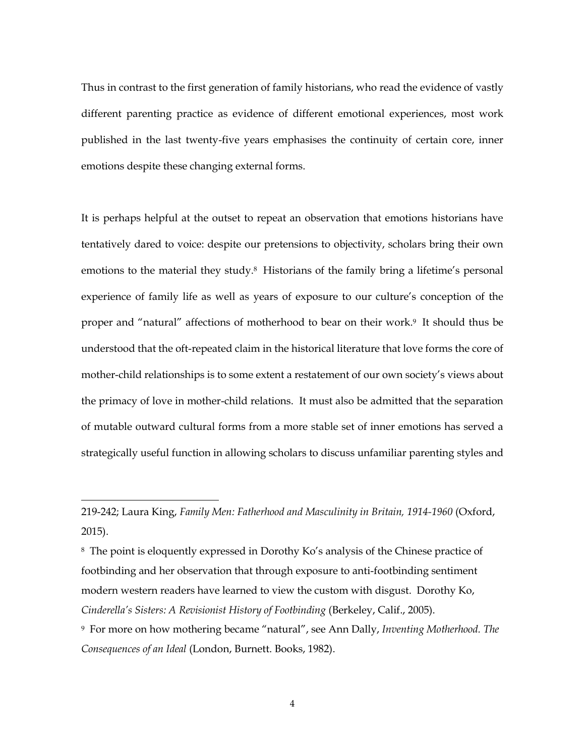Thus in contrast to the first generation of family historians, who read the evidence of vastly different parenting practice as evidence of different emotional experiences, most work published in the last twenty-five years emphasises the continuity of certain core, inner emotions despite these changing external forms.

It is perhaps helpful at the outset to repeat an observation that emotions historians have tentatively dared to voice: despite our pretensions to objectivity, scholars bring their own emotions to the material they study.<sup>8</sup> Historians of the family bring a lifetime's personal experience of family life as well as years of exposure to our culture's conception of the proper and "natural" affections of motherhood to bear on their work.9 It should thus be understood that the oft-repeated claim in the historical literature that love forms the core of mother-child relationships is to some extent a restatement of our own society's views about the primacy of love in mother-child relations. It must also be admitted that the separation of mutable outward cultural forms from a more stable set of inner emotions has served a strategically useful function in allowing scholars to discuss unfamiliar parenting styles and

<sup>219-242;</sup> Laura King, *Family Men: Fatherhood and Masculinity in Britain, 1914-1960* (Oxford, 2015).

<sup>8</sup> The point is eloquently expressed in Dorothy Ko's analysis of the Chinese practice of footbinding and her observation that through exposure to anti-footbinding sentiment modern western readers have learned to view the custom with disgust. Dorothy Ko, *Cinderella's Sisters: A Revisionist History of Footbinding* (Berkeley, Calif., 2005).

<sup>9</sup> For more on how mothering became "natural", see Ann Dally, *Inventing Motherhood. The Consequences of an Ideal* (London, Burnett. Books, 1982).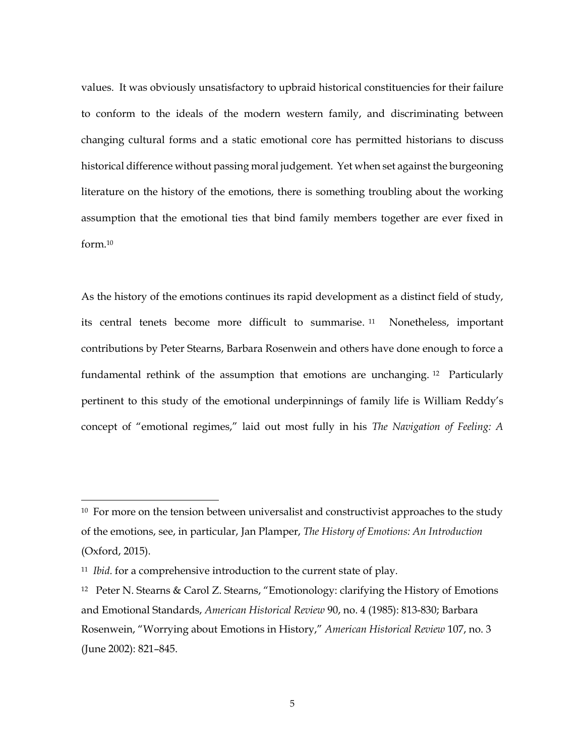values. It was obviously unsatisfactory to upbraid historical constituencies for their failure to conform to the ideals of the modern western family, and discriminating between changing cultural forms and a static emotional core has permitted historians to discuss historical difference without passing moral judgement. Yet when set against the burgeoning literature on the history of the emotions, there is something troubling about the working assumption that the emotional ties that bind family members together are ever fixed in form.<sup>10</sup>

As the history of the emotions continues its rapid development as a distinct field of study, its central tenets become more difficult to summarise. Nonetheless, important contributions by Peter Stearns, Barbara Rosenwein and others have done enough to force a fundamental rethink of the assumption that emotions are unchanging. <sup>12</sup> Particularly pertinent to this study of the emotional underpinnings of family life is William Reddy's concept of "emotional regimes," laid out most fully in his *The Navigation of Feeling: A* 

<sup>&</sup>lt;sup>10</sup> For more on the tension between universalist and constructivist approaches to the study of the emotions, see, in particular, Jan Plamper, *The History of Emotions: An Introduction* (Oxford, 2015).

<sup>11</sup> *Ibid.* for a comprehensive introduction to the current state of play.

<sup>12</sup> Peter N. Stearns & Carol Z. Stearns, "Emotionology: clarifying the History of Emotions and Emotional Standards, *American Historical Review* 90, no. 4 (1985): 813-830; Barbara Rosenwein, "Worrying about Emotions in History," *American Historical Review* 107, no. 3 (June 2002): 821–845.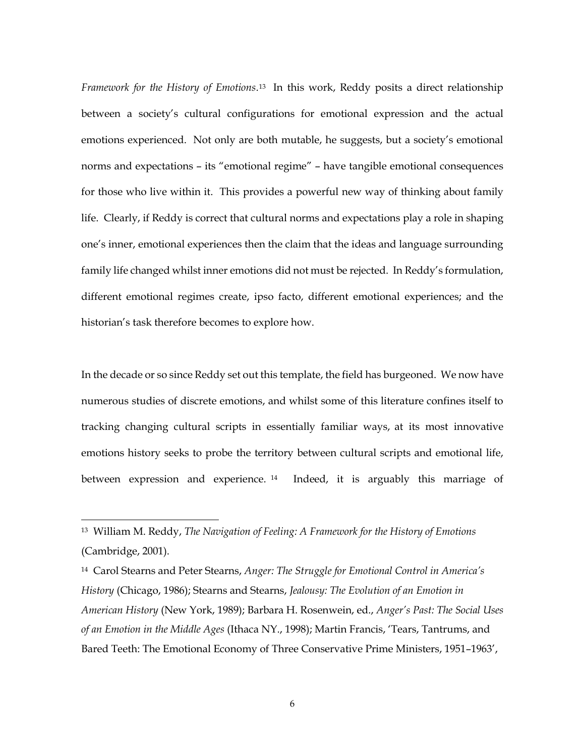*Framework for the History of Emotions*. <sup>13</sup> In this work, Reddy posits a direct relationship between a society's cultural configurations for emotional expression and the actual emotions experienced. Not only are both mutable, he suggests, but a society's emotional norms and expectations – its "emotional regime" – have tangible emotional consequences for those who live within it. This provides a powerful new way of thinking about family life. Clearly, if Reddy is correct that cultural norms and expectations play a role in shaping one's inner, emotional experiences then the claim that the ideas and language surrounding family life changed whilst inner emotions did not must be rejected. In Reddy's formulation, different emotional regimes create, ipso facto, different emotional experiences; and the historian's task therefore becomes to explore how.

In the decade or so since Reddy set out this template, the field has burgeoned. We now have numerous studies of discrete emotions, and whilst some of this literature confines itself to tracking changing cultural scripts in essentially familiar ways, at its most innovative emotions history seeks to probe the territory between cultural scripts and emotional life, between expression and experience. <sup>14</sup> Indeed, it is arguably this marriage of

 $\overline{a}$ 

<sup>14</sup> Carol Stearns and Peter Stearns, *Anger: The Struggle for Emotional Control in America's History* (Chicago, 1986); Stearns and Stearns, *Jealousy: The Evolution of an Emotion in American History* (New York, 1989); Barbara H. Rosenwein, ed., *Anger's Past: The Social Uses of an Emotion in the Middle Ages* (Ithaca NY., 1998); Martin Francis, 'Tears, Tantrums, and Bared Teeth: The Emotional Economy of Three Conservative Prime Ministers, 1951–1963',

<sup>13</sup> William M. Reddy, *The Navigation of Feeling: A Framework for the History of Emotions* (Cambridge, 2001).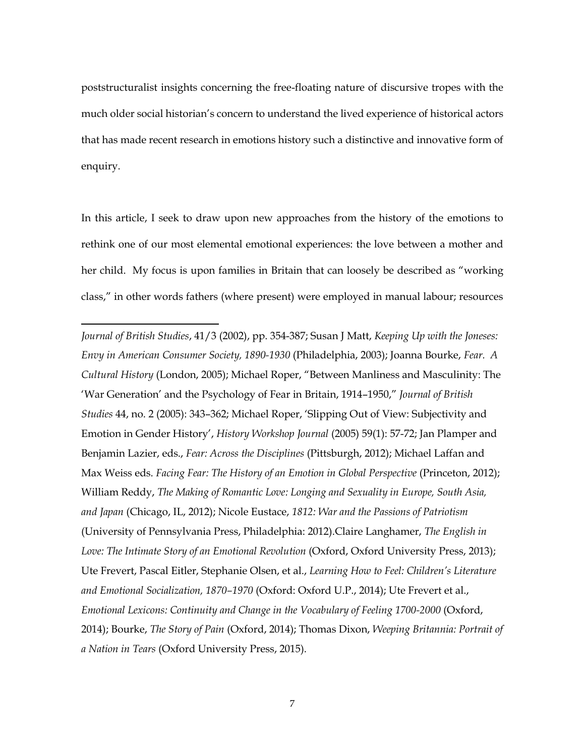poststructuralist insights concerning the free-floating nature of discursive tropes with the much older social historian's concern to understand the lived experience of historical actors that has made recent research in emotions history such a distinctive and innovative form of enquiry.

In this article, I seek to draw upon new approaches from the history of the emotions to rethink one of our most elemental emotional experiences: the love between a mother and her child. My focus is upon families in Britain that can loosely be described as "working class," in other words fathers (where present) were employed in manual labour; resources

 $\overline{a}$ 

*Journal of British Studies*, 41/3 (2002), pp. 354-387; Susan J Matt, *Keeping Up with the Joneses: Envy in American Consumer Society, 1890-1930* (Philadelphia, 2003); Joanna Bourke, *Fear. A Cultural History* (London, 2005); Michael Roper, "Between Manliness and Masculinity: The 'War Generation' and the Psychology of Fear in Britain, 1914–1950," *Journal of British Studies* 44, no. 2 (2005): 343–362; Michael Roper, 'Slipping Out of View: Subjectivity and Emotion in Gender History', *History Workshop Journal* (2005) 59(1): 57-72; Jan Plamper and Benjamin Lazier, eds., *Fear: Across the Disciplines* (Pittsburgh, 2012); Michael Laffan and Max Weiss eds. *Facing Fear: The History of an Emotion in Global Perspective* (Princeton, 2012); William Reddy, *The Making of Romantic Love: Longing and Sexuality in Europe, South Asia, and Japan* (Chicago, IL, 2012); Nicole Eustace, *1812: War and the Passions of Patriotism*  (University of Pennsylvania Press, Philadelphia: 2012).Claire Langhamer, *The English in Love: The Intimate Story of an Emotional Revolution* (Oxford, Oxford University Press, 2013); Ute Frevert, Pascal Eitler, Stephanie Olsen, et al., *Learning How to Feel: Children's Literature and Emotional Socialization, 1870–1970* (Oxford: Oxford U.P., 2014); Ute Frevert et al., *Emotional Lexicons: Continuity and Change in the Vocabulary of Feeling 1700-2000* (Oxford, 2014); Bourke, *The Story of Pain* (Oxford, 2014); Thomas Dixon, *Weeping Britannia: Portrait of a Nation in Tears* (Oxford University Press, 2015).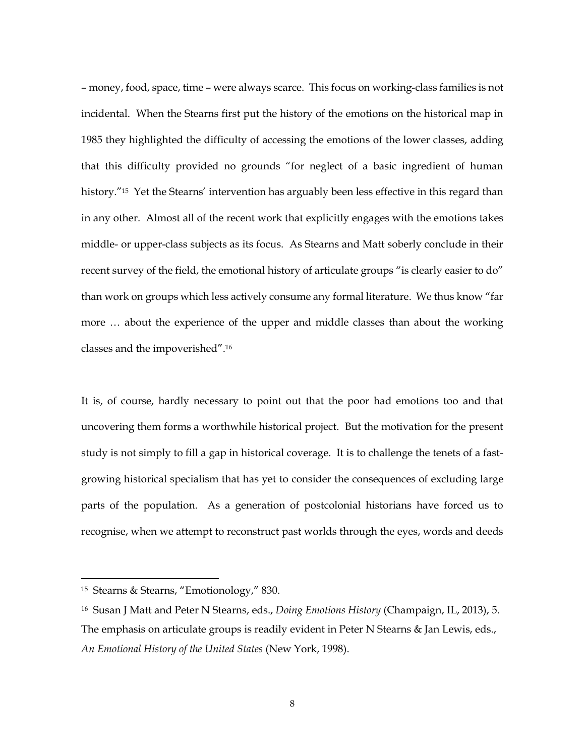– money, food, space, time – were always scarce. This focus on working-class families is not incidental. When the Stearns first put the history of the emotions on the historical map in 1985 they highlighted the difficulty of accessing the emotions of the lower classes, adding that this difficulty provided no grounds "for neglect of a basic ingredient of human history."<sup>15</sup> Yet the Stearns' intervention has arguably been less effective in this regard than in any other. Almost all of the recent work that explicitly engages with the emotions takes middle- or upper-class subjects as its focus. As Stearns and Matt soberly conclude in their recent survey of the field, the emotional history of articulate groups "is clearly easier to do" than work on groups which less actively consume any formal literature. We thus know "far more … about the experience of the upper and middle classes than about the working classes and the impoverished". 16

It is, of course, hardly necessary to point out that the poor had emotions too and that uncovering them forms a worthwhile historical project. But the motivation for the present study is not simply to fill a gap in historical coverage. It is to challenge the tenets of a fastgrowing historical specialism that has yet to consider the consequences of excluding large parts of the population. As a generation of postcolonial historians have forced us to recognise, when we attempt to reconstruct past worlds through the eyes, words and deeds

<sup>15</sup> Stearns & Stearns, "Emotionology," 830.

<sup>16</sup> Susan J Matt and Peter N Stearns, eds., *Doing Emotions History* (Champaign, IL, 2013), 5. The emphasis on articulate groups is readily evident in Peter N Stearns & Jan Lewis, eds., *An Emotional History of the United States* (New York, 1998).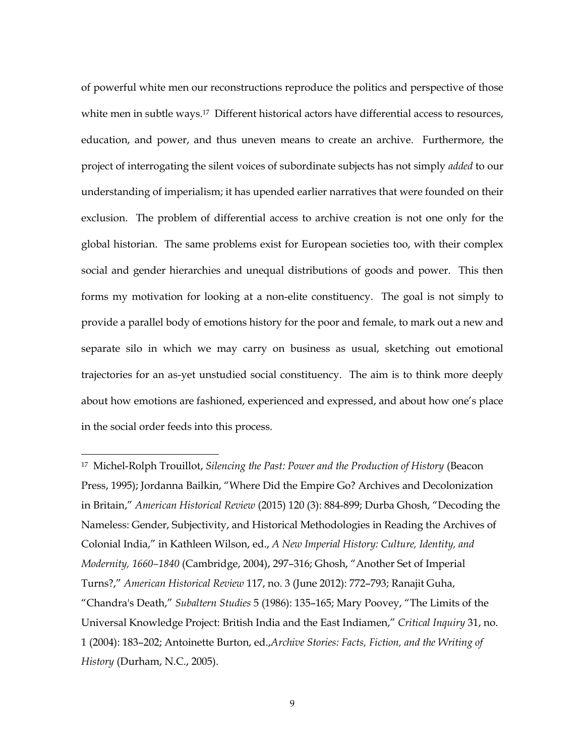of powerful white men our reconstructions reproduce the politics and perspective of those white men in subtle ways.<sup>17</sup> Different historical actors have differential access to resources, education, and power, and thus uneven means to create an archive. Furthermore, the project of interrogating the silent voices of subordinate subjects has not simply *added* to our understanding of imperialism; it has upended earlier narratives that were founded on their exclusion. The problem of differential access to archive creation is not one only for the global historian. The same problems exist for European societies too, with their complex social and gender hierarchies and unequal distributions of goods and power. This then forms my motivation for looking at a non-elite constituency. The goal is not simply to provide a parallel body of emotions history for the poor and female, to mark out a new and separate silo in which we may carry on business as usual, sketching out emotional trajectories for an as-yet unstudied social constituency. The aim is to think more deeply about how emotions are fashioned, experienced and expressed, and about how one's place in the social order feeds into this process.

<sup>17</sup> Michel-Rolph Trouillot, *Silencing the Past: Power and the Production of History* (Beacon Press, 1995); Jordanna Bailkin, "Where Did the Empire Go? Archives and Decolonization in Britain," *American Historical Review* (2015) 120 (3): 884-899; Durba Ghosh, "Decoding the Nameless: Gender, Subjectivity, and Historical Methodologies in Reading the Archives of Colonial India," in Kathleen Wilson, ed., *A New Imperial History: Culture, Identity, and Modernity, 1660–1840* (Cambridge, 2004), 297–316; Ghosh, "Another Set of Imperial Turns?," *American Historical Review* 117, no. 3 (June 2012): 772–793; Ranajit Guha, "Chandra's Death," *Subaltern Studies* 5 (1986): 135–165; Mary Poovey, "The Limits of the Universal Knowledge Project: British India and the East Indiamen," *Critical Inquiry* 31, no. 1 (2004): 183–202; Antoinette Burton, ed.,*Archive Stories: Facts, Fiction, and the Writing of History* (Durham, N.C., 2005).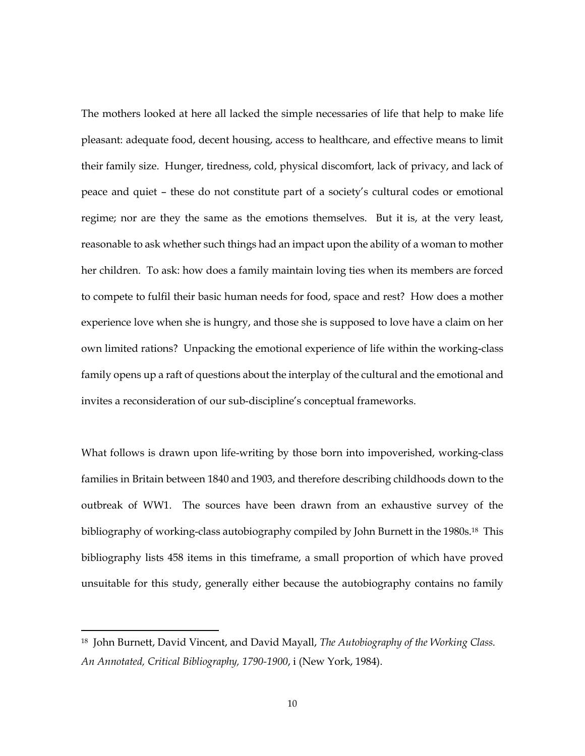The mothers looked at here all lacked the simple necessaries of life that help to make life pleasant: adequate food, decent housing, access to healthcare, and effective means to limit their family size. Hunger, tiredness, cold, physical discomfort, lack of privacy, and lack of peace and quiet – these do not constitute part of a society's cultural codes or emotional regime; nor are they the same as the emotions themselves. But it is, at the very least, reasonable to ask whether such things had an impact upon the ability of a woman to mother her children. To ask: how does a family maintain loving ties when its members are forced to compete to fulfil their basic human needs for food, space and rest? How does a mother experience love when she is hungry, and those she is supposed to love have a claim on her own limited rations? Unpacking the emotional experience of life within the working-class family opens up a raft of questions about the interplay of the cultural and the emotional and invites a reconsideration of our sub-discipline's conceptual frameworks.

What follows is drawn upon life-writing by those born into impoverished, working-class families in Britain between 1840 and 1903, and therefore describing childhoods down to the outbreak of WW1. The sources have been drawn from an exhaustive survey of the bibliography of working-class autobiography compiled by John Burnett in the 1980s.18 This bibliography lists 458 items in this timeframe, a small proportion of which have proved unsuitable for this study, generally either because the autobiography contains no family

<sup>18</sup> John Burnett, David Vincent, and David Mayall, *The Autobiography of the Working Class. An Annotated, Critical Bibliography, 1790-1900*, i (New York, 1984).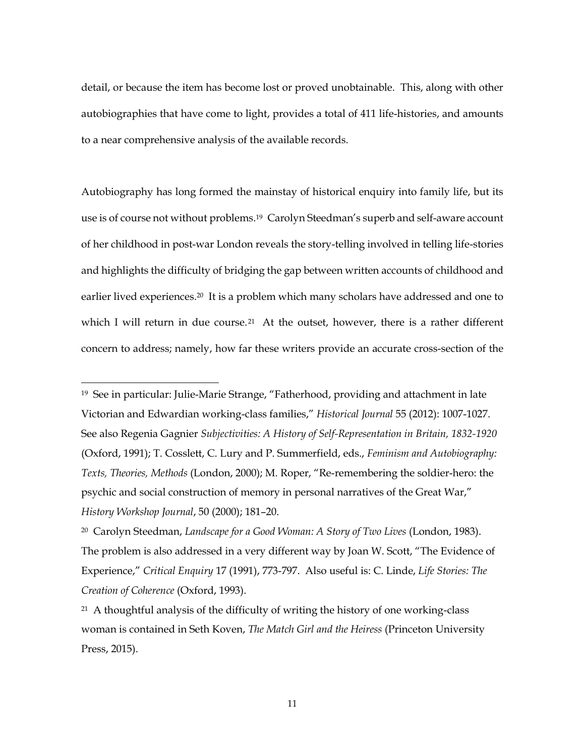detail, or because the item has become lost or proved unobtainable. This, along with other autobiographies that have come to light, provides a total of 411 life-histories, and amounts to a near comprehensive analysis of the available records.

Autobiography has long formed the mainstay of historical enquiry into family life, but its use is of course not without problems. <sup>19</sup> Carolyn Steedman's superb and self-aware account of her childhood in post-war London reveals the story-telling involved in telling life-stories and highlights the difficulty of bridging the gap between written accounts of childhood and earlier lived experiences.20 It is a problem which many scholars have addressed and one to which I will return in due course.<sup>21</sup> At the outset, however, there is a rather different concern to address; namely, how far these writers provide an accurate cross-section of the

<sup>19</sup> See in particular: Julie-Marie Strange, "Fatherhood, providing and attachment in late Victorian and Edwardian working-class families," *Historical Journal* 55 (2012): 1007-1027. See also Regenia Gagnier *Subjectivities: A History of Self-Representation in Britain, 1832-1920*  (Oxford, 1991); T. Cosslett, C. Lury and P. Summerfield, eds., *Feminism and Autobiography: Texts, Theories, Methods* (London, 2000); M. Roper, "Re-remembering the soldier-hero: the psychic and social construction of memory in personal narratives of the Great War," *History Workshop Journal*, 50 (2000); 181–20.

<sup>20</sup> Carolyn Steedman, *Landscape for a Good Woman: A Story of Two Lives* (London, 1983). The problem is also addressed in a very different way by Joan W. Scott, "The Evidence of Experience," *Critical Enquiry* 17 (1991), 773-797. Also useful is: C. Linde, *Life Stories: The Creation of Coherence* (Oxford, 1993).

<sup>&</sup>lt;sup>21</sup> A thoughtful analysis of the difficulty of writing the history of one working-class woman is contained in Seth Koven, *The Match Girl and the Heiress* (Princeton University Press, 2015).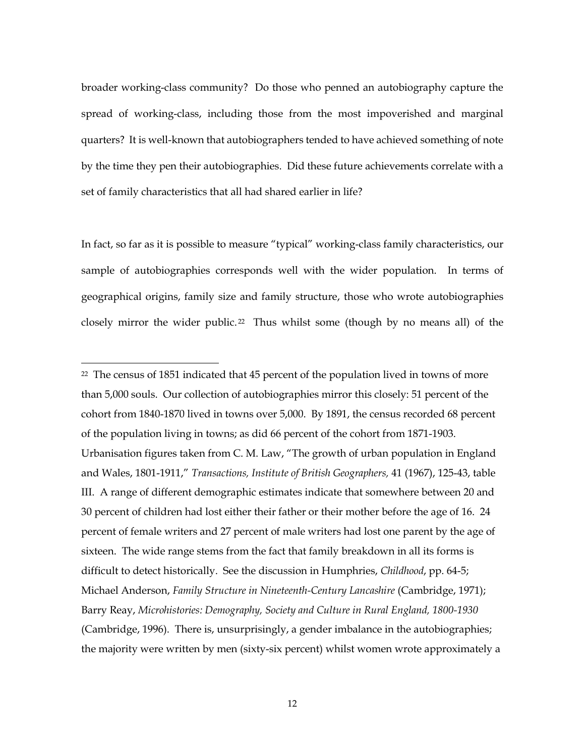broader working-class community? Do those who penned an autobiography capture the spread of working-class, including those from the most impoverished and marginal quarters? It is well-known that autobiographers tended to have achieved something of note by the time they pen their autobiographies. Did these future achievements correlate with a set of family characteristics that all had shared earlier in life?

In fact, so far as it is possible to measure "typical" working-class family characteristics, our sample of autobiographies corresponds well with the wider population. In terms of geographical origins, family size and family structure, those who wrote autobiographies closely mirror the wider public.<sup>22</sup> Thus whilst some (though by no means all) of the

<sup>&</sup>lt;sup>22</sup> The census of 1851 indicated that 45 percent of the population lived in towns of more than 5,000 souls. Our collection of autobiographies mirror this closely: 51 percent of the cohort from 1840-1870 lived in towns over 5,000. By 1891, the census recorded 68 percent of the population living in towns; as did 66 percent of the cohort from 1871-1903. Urbanisation figures taken from C. M. Law, "The growth of urban population in England and Wales, 1801-1911," *Transactions, Institute of British Geographers,* 41 (1967), 125-43, table III. A range of different demographic estimates indicate that somewhere between 20 and 30 percent of children had lost either their father or their mother before the age of 16. 24 percent of female writers and 27 percent of male writers had lost one parent by the age of sixteen. The wide range stems from the fact that family breakdown in all its forms is difficult to detect historically. See the discussion in Humphries, *Childhood*, pp. 64-5; Michael Anderson, *Family Structure in Nineteenth-Century Lancashire* (Cambridge, 1971); Barry Reay, *Microhistories: Demography, Society and Culture in Rural England, 1800-1930* (Cambridge, 1996). There is, unsurprisingly, a gender imbalance in the autobiographies; the majority were written by men (sixty-six percent) whilst women wrote approximately a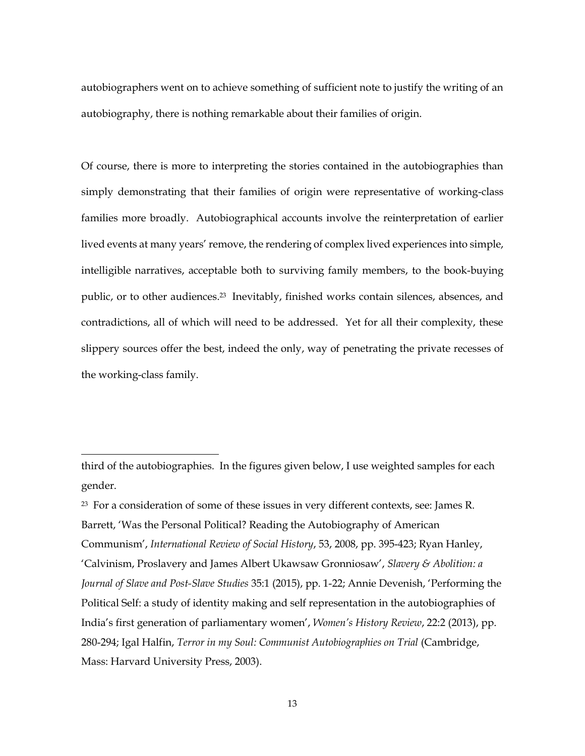autobiographers went on to achieve something of sufficient note to justify the writing of an autobiography, there is nothing remarkable about their families of origin.

Of course, there is more to interpreting the stories contained in the autobiographies than simply demonstrating that their families of origin were representative of working-class families more broadly. Autobiographical accounts involve the reinterpretation of earlier lived events at many years' remove, the rendering of complex lived experiences into simple, intelligible narratives, acceptable both to surviving family members, to the book-buying public, or to other audiences. <sup>23</sup> Inevitably, finished works contain silences, absences, and contradictions, all of which will need to be addressed. Yet for all their complexity, these slippery sources offer the best, indeed the only, way of penetrating the private recesses of the working-class family.

third of the autobiographies. In the figures given below, I use weighted samples for each gender.

<sup>&</sup>lt;sup>23</sup> For a consideration of some of these issues in very different contexts, see: James R. Barrett, 'Was the Personal Political? Reading the Autobiography of American Communism', *International Review of Social History*, 53, 2008, pp. 395-423; Ryan Hanley, 'Calvinism, Proslavery and James Albert Ukawsaw Gronniosaw', *Slavery & Abolition: a Journal of Slave and Post-Slave Studies* 35:1 (2015), pp. 1-22; Annie Devenish, 'Performing the Political Self: a study of identity making and self representation in the autobiographies of India's first generation of parliamentary women', *Women's History Review*, 22:2 (2013), pp. 280-294; Igal Halfin, *Terror in my Soul: Communist Autobiographies on Trial* (Cambridge, Mass: Harvard University Press, 2003).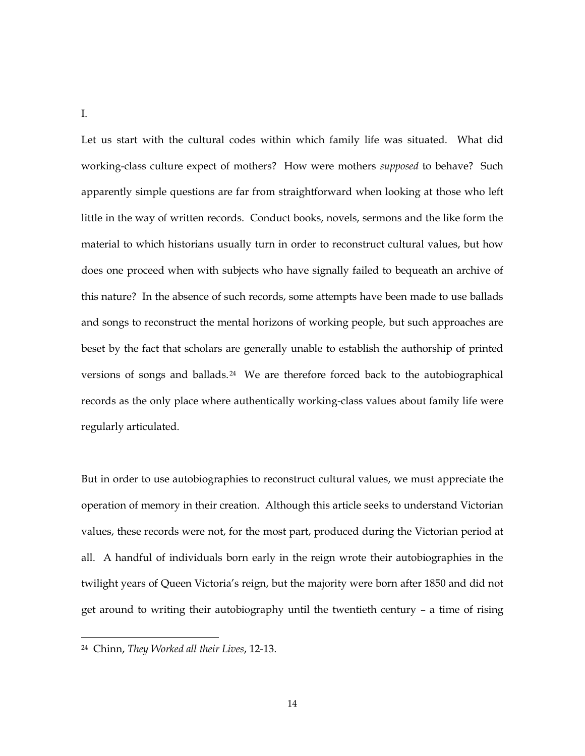I.

Let us start with the cultural codes within which family life was situated. What did working-class culture expect of mothers? How were mothers *supposed* to behave? Such apparently simple questions are far from straightforward when looking at those who left little in the way of written records. Conduct books, novels, sermons and the like form the material to which historians usually turn in order to reconstruct cultural values, but how does one proceed when with subjects who have signally failed to bequeath an archive of this nature? In the absence of such records, some attempts have been made to use ballads and songs to reconstruct the mental horizons of working people, but such approaches are beset by the fact that scholars are generally unable to establish the authorship of printed versions of songs and ballads. <sup>24</sup> We are therefore forced back to the autobiographical records as the only place where authentically working-class values about family life were regularly articulated.

But in order to use autobiographies to reconstruct cultural values, we must appreciate the operation of memory in their creation. Although this article seeks to understand Victorian values, these records were not, for the most part, produced during the Victorian period at all. A handful of individuals born early in the reign wrote their autobiographies in the twilight years of Queen Victoria's reign, but the majority were born after 1850 and did not get around to writing their autobiography until the twentieth century – a time of rising

<sup>24</sup> Chinn, *They Worked all their Lives*, 12-13.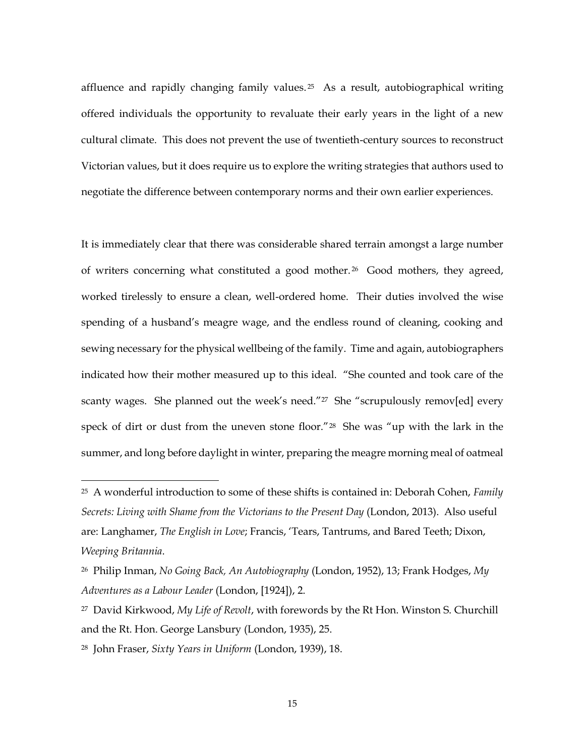affluence and rapidly changing family values.<sup>25</sup> As a result, autobiographical writing offered individuals the opportunity to revaluate their early years in the light of a new cultural climate. This does not prevent the use of twentieth-century sources to reconstruct Victorian values, but it does require us to explore the writing strategies that authors used to negotiate the difference between contemporary norms and their own earlier experiences.

It is immediately clear that there was considerable shared terrain amongst a large number of writers concerning what constituted a good mother. <sup>26</sup> Good mothers, they agreed, worked tirelessly to ensure a clean, well-ordered home. Their duties involved the wise spending of a husband's meagre wage, and the endless round of cleaning, cooking and sewing necessary for the physical wellbeing of the family. Time and again, autobiographers indicated how their mother measured up to this ideal. "She counted and took care of the scanty wages. She planned out the week's need."<sup>27</sup> She "scrupulously remov[ed] every speck of dirt or dust from the uneven stone floor."<sup>28</sup> She was "up with the lark in the summer, and long before daylight in winter, preparing the meagre morning meal of oatmeal

<sup>25</sup> A wonderful introduction to some of these shifts is contained in: Deborah Cohen, *Family Secrets: Living with Shame from the Victorians to the Present Day* (London, 2013). Also useful are: Langhamer, *The English in Love*; Francis, 'Tears, Tantrums, and Bared Teeth; Dixon, *Weeping Britannia*.

<sup>26</sup> Philip Inman, *No Going Back, An Autobiography* (London, 1952), 13; Frank Hodges, *My Adventures as a Labour Leader* (London, [1924]), 2.

<sup>27</sup> David Kirkwood, *My Life of Revolt*, with forewords by the Rt Hon. Winston S. Churchill and the Rt. Hon. George Lansbury (London, 1935), 25.

<sup>28</sup> John Fraser, *Sixty Years in Uniform* (London, 1939), 18.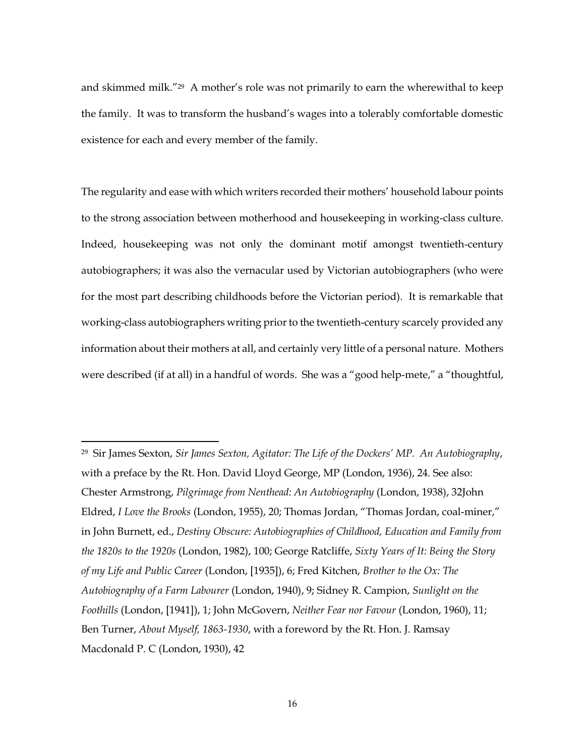and skimmed milk."<sup>29</sup> A mother's role was not primarily to earn the wherewithal to keep the family. It was to transform the husband's wages into a tolerably comfortable domestic existence for each and every member of the family.

The regularity and ease with which writers recorded their mothers' household labour points to the strong association between motherhood and housekeeping in working-class culture. Indeed, housekeeping was not only the dominant motif amongst twentieth-century autobiographers; it was also the vernacular used by Victorian autobiographers (who were for the most part describing childhoods before the Victorian period). It is remarkable that working-class autobiographers writing prior to the twentieth-century scarcely provided any information about their mothers at all, and certainly very little of a personal nature. Mothers were described (if at all) in a handful of words. She was a "good help-mete," a "thoughtful,

<sup>29</sup> Sir James Sexton, *Sir James Sexton, Agitator: The Life of the Dockers' MP. An Autobiography*, with a preface by the Rt. Hon. David Lloyd George, MP (London, 1936), 24. See also: Chester Armstrong, *Pilgrimage from Nenthead: An Autobiography* (London, 1938), 32John Eldred, *I Love the Brooks* (London, 1955), 20; Thomas Jordan, "Thomas Jordan, coal-miner," in John Burnett, ed., *Destiny Obscure: Autobiographies of Childhood, Education and Family from the 1820s to the 1920s* (London, 1982), 100; George Ratcliffe, *Sixty Years of It: Being the Story of my Life and Public Career* (London, [1935]), 6; Fred Kitchen, *Brother to the Ox: The Autobiography of a Farm Labourer* (London, 1940), 9; Sidney R. Campion, *Sunlight on the Foothills* (London, [1941]), 1; John McGovern, *Neither Fear nor Favour* (London, 1960), 11; Ben Turner, *About Myself, 1863-1930*, with a foreword by the Rt. Hon. J. Ramsay Macdonald P. C (London, 1930), 42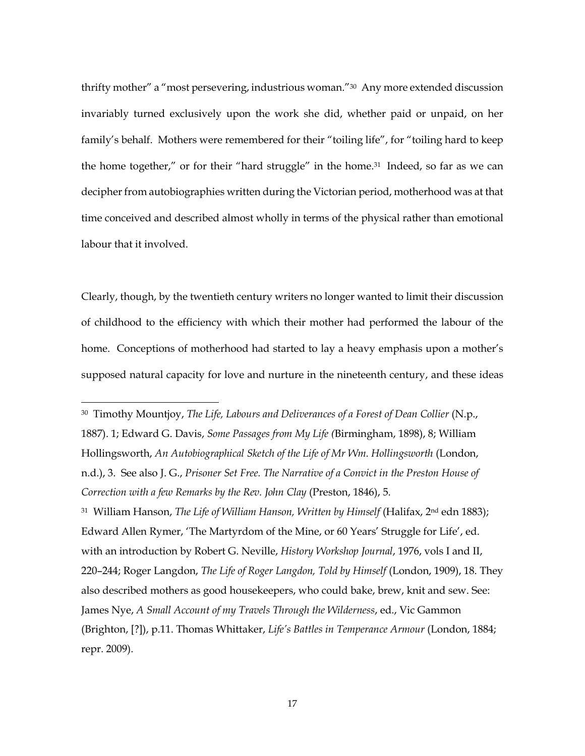thrifty mother" a "most persevering, industrious woman."30 Any more extended discussion invariably turned exclusively upon the work she did, whether paid or unpaid, on her family's behalf. Mothers were remembered for their "toiling life", for "toiling hard to keep the home together," or for their "hard struggle" in the home.<sup>31</sup> Indeed, so far as we can decipher from autobiographies written during the Victorian period, motherhood was at that time conceived and described almost wholly in terms of the physical rather than emotional labour that it involved.

Clearly, though, by the twentieth century writers no longer wanted to limit their discussion of childhood to the efficiency with which their mother had performed the labour of the home. Conceptions of motherhood had started to lay a heavy emphasis upon a mother's supposed natural capacity for love and nurture in the nineteenth century, and these ideas

 $\overline{a}$ 

<sup>30</sup> Timothy Mountjoy, *The Life, Labours and Deliverances of a Forest of Dean Collier* (N.p., 1887). 1; Edward G. Davis, *Some Passages from My Life (*Birmingham, 1898), 8; William Hollingsworth, *An Autobiographical Sketch of the Life of Mr Wm. Hollingsworth* (London, n.d.), 3. See also J. G., *Prisoner Set Free. The Narrative of a Convict in the Preston House of Correction with a few Remarks by the Rev. John Clay* (Preston, 1846), 5. <sup>31</sup> William Hanson, *The Life of William Hanson, Written by Himself* (Halifax, 2nd edn 1883); Edward Allen Rymer, 'The Martyrdom of the Mine, or 60 Years' Struggle for Life', ed. with an introduction by Robert G. Neville, *History Workshop Journal*, 1976, vols I and II, 220–244; Roger Langdon, *The Life of Roger Langdon, Told by Himself* (London, 1909), 18. They also described mothers as good housekeepers, who could bake, brew, knit and sew. See: James Nye, *A Small Account of my Travels Through the Wilderness*, ed., Vic Gammon (Brighton, [?]), p.11. Thomas Whittaker, *Life's Battles in Temperance Armour* (London, 1884; repr. 2009).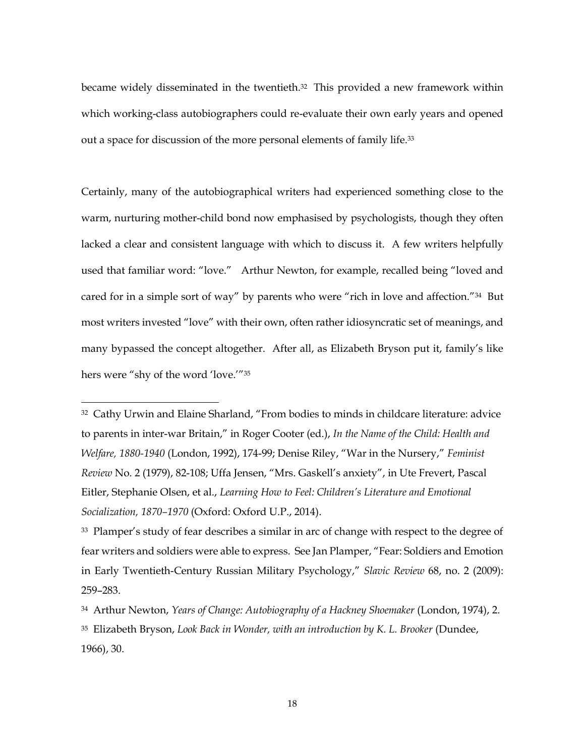became widely disseminated in the twentieth.32 This provided a new framework within which working-class autobiographers could re-evaluate their own early years and opened out a space for discussion of the more personal elements of family life.<sup>33</sup>

Certainly, many of the autobiographical writers had experienced something close to the warm, nurturing mother-child bond now emphasised by psychologists, though they often lacked a clear and consistent language with which to discuss it. A few writers helpfully used that familiar word: "love." Arthur Newton, for example, recalled being "loved and cared for in a simple sort of way" by parents who were "rich in love and affection."34 But most writers invested "love" with their own, often rather idiosyncratic set of meanings, and many bypassed the concept altogether. After all, as Elizabeth Bryson put it, family's like hers were "shy of the word 'love.'"<sup>35</sup>

<sup>32</sup> Cathy Urwin and Elaine Sharland, "From bodies to minds in childcare literature: advice to parents in inter-war Britain," in Roger Cooter (ed.), *In the Name of the Child: Health and Welfare, 1880-1940* (London, 1992), 174-99; Denise Riley, "War in the Nursery," *Feminist Review* No. 2 (1979), 82-108; Uffa Jensen, "Mrs. Gaskell's anxiety", in Ute Frevert, Pascal Eitler, Stephanie Olsen, et al., *Learning How to Feel: Children's Literature and Emotional Socialization, 1870–1970* (Oxford: Oxford U.P., 2014).

<sup>&</sup>lt;sup>33</sup> Plamper's study of fear describes a similar in arc of change with respect to the degree of fear writers and soldiers were able to express. See Jan Plamper, "Fear: Soldiers and Emotion in Early Twentieth-Century Russian Military Psychology," *Slavic Review* 68, no. 2 (2009): 259–283.

<sup>34</sup> Arthur Newton, *Years of Change: Autobiography of a Hackney Shoemaker* (London, 1974), 2. <sup>35</sup> Elizabeth Bryson, *Look Back in Wonder, with an introduction by K. L. Brooker* (Dundee, 1966), 30.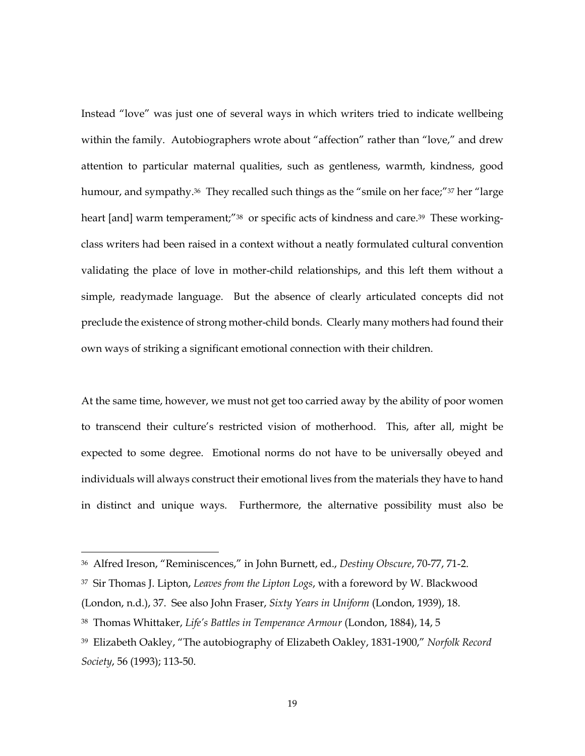Instead "love" was just one of several ways in which writers tried to indicate wellbeing within the family. Autobiographers wrote about "affection" rather than "love," and drew attention to particular maternal qualities, such as gentleness, warmth, kindness, good humour, and sympathy. <sup>36</sup> They recalled such things as the "smile on her face;"<sup>37</sup> her "large heart [and] warm temperament;"<sup>38</sup> or specific acts of kindness and care.<sup>39</sup> These workingclass writers had been raised in a context without a neatly formulated cultural convention validating the place of love in mother-child relationships, and this left them without a simple, readymade language. But the absence of clearly articulated concepts did not preclude the existence of strong mother-child bonds. Clearly many mothers had found their own ways of striking a significant emotional connection with their children.

At the same time, however, we must not get too carried away by the ability of poor women to transcend their culture's restricted vision of motherhood. This, after all, might be expected to some degree. Emotional norms do not have to be universally obeyed and individuals will always construct their emotional lives from the materials they have to hand in distinct and unique ways. Furthermore, the alternative possibility must also be

<sup>36</sup> Alfred Ireson, "Reminiscences," in John Burnett, ed., *Destiny Obscure*, 70-77, 71-2.

<sup>37</sup> Sir Thomas J. Lipton, *Leaves from the Lipton Logs*, with a foreword by W. Blackwood

<sup>(</sup>London, n.d.), 37. See also John Fraser, *Sixty Years in Uniform* (London, 1939), 18.

<sup>38</sup> Thomas Whittaker, *Life's Battles in Temperance Armour* (London, 1884), 14, 5

<sup>39</sup> Elizabeth Oakley, "The autobiography of Elizabeth Oakley, 1831-1900," *Norfolk Record Society*, 56 (1993); 113-50.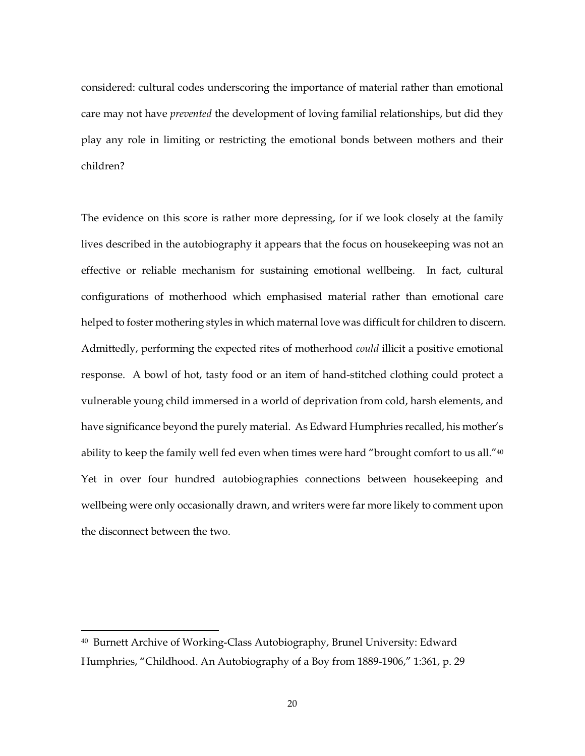considered: cultural codes underscoring the importance of material rather than emotional care may not have *prevented* the development of loving familial relationships, but did they play any role in limiting or restricting the emotional bonds between mothers and their children?

The evidence on this score is rather more depressing, for if we look closely at the family lives described in the autobiography it appears that the focus on housekeeping was not an effective or reliable mechanism for sustaining emotional wellbeing. In fact, cultural configurations of motherhood which emphasised material rather than emotional care helped to foster mothering styles in which maternal love was difficult for children to discern. Admittedly, performing the expected rites of motherhood *could* illicit a positive emotional response. A bowl of hot, tasty food or an item of hand-stitched clothing could protect a vulnerable young child immersed in a world of deprivation from cold, harsh elements, and have significance beyond the purely material. As Edward Humphries recalled, his mother's ability to keep the family well fed even when times were hard "brought comfort to us all."<sup>40</sup> Yet in over four hundred autobiographies connections between housekeeping and wellbeing were only occasionally drawn, and writers were far more likely to comment upon the disconnect between the two.

<sup>40</sup> Burnett Archive of Working-Class Autobiography, Brunel University: Edward Humphries, "Childhood. An Autobiography of a Boy from 1889-1906," 1:361, p. 29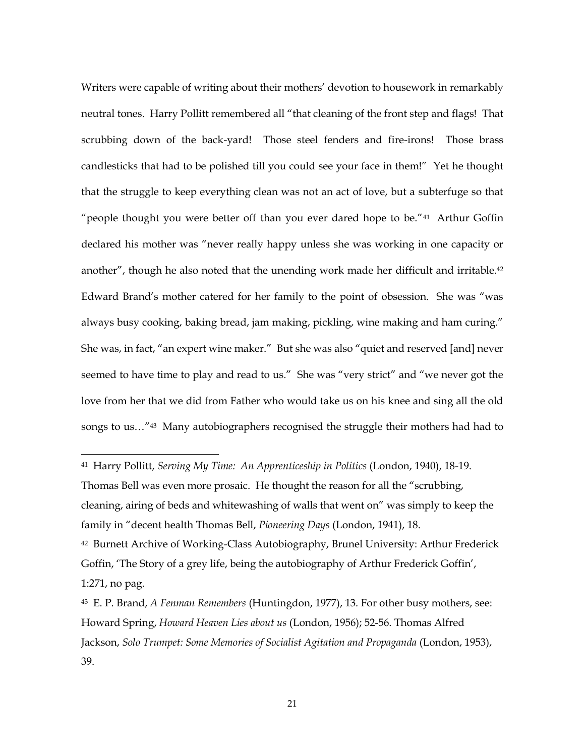Writers were capable of writing about their mothers' devotion to housework in remarkably neutral tones. Harry Pollitt remembered all "that cleaning of the front step and flags! That scrubbing down of the back-yard! Those steel fenders and fire-irons! Those brass candlesticks that had to be polished till you could see your face in them!" Yet he thought that the struggle to keep everything clean was not an act of love, but a subterfuge so that "people thought you were better off than you ever dared hope to be."<sup>41</sup> Arthur Goffin declared his mother was "never really happy unless she was working in one capacity or another", though he also noted that the unending work made her difficult and irritable. 42 Edward Brand's mother catered for her family to the point of obsession. She was "was always busy cooking, baking bread, jam making, pickling, wine making and ham curing." She was, in fact, "an expert wine maker." But she was also "quiet and reserved [and] never seemed to have time to play and read to us." She was "very strict" and "we never got the love from her that we did from Father who would take us on his knee and sing all the old songs to us…"43 Many autobiographers recognised the struggle their mothers had had to

<sup>41</sup> Harry Pollitt, *Serving My Time: An Apprenticeship in Politics* (London, 1940), 18-19. Thomas Bell was even more prosaic. He thought the reason for all the "scrubbing, cleaning, airing of beds and whitewashing of walls that went on" was simply to keep the family in "decent health Thomas Bell, *Pioneering Days* (London, 1941), 18. <sup>42</sup> Burnett Archive of Working-Class Autobiography, Brunel University: Arthur Frederick Goffin, 'The Story of a grey life, being the autobiography of Arthur Frederick Goffin', 1:271, no pag.

 $\overline{a}$ 

<sup>43</sup> E. P. Brand, *A Fenman Remembers* (Huntingdon, 1977), 13. For other busy mothers, see: Howard Spring, *Howard Heaven Lies about us* (London, 1956); 52-56. Thomas Alfred Jackson, *Solo Trumpet: Some Memories of Socialist Agitation and Propaganda* (London, 1953), 39.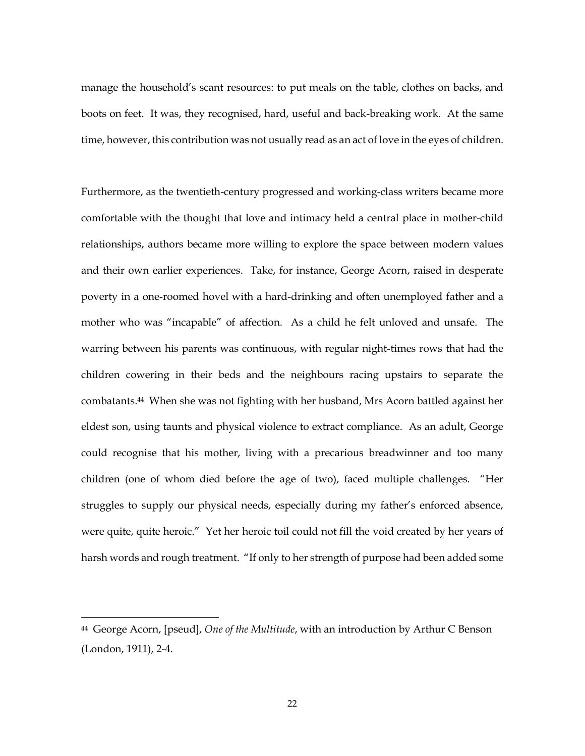manage the household's scant resources: to put meals on the table, clothes on backs, and boots on feet. It was, they recognised, hard, useful and back-breaking work. At the same time, however, this contribution was not usually read as an act of love in the eyes of children.

Furthermore, as the twentieth-century progressed and working-class writers became more comfortable with the thought that love and intimacy held a central place in mother-child relationships, authors became more willing to explore the space between modern values and their own earlier experiences. Take, for instance, George Acorn, raised in desperate poverty in a one-roomed hovel with a hard-drinking and often unemployed father and a mother who was "incapable" of affection. As a child he felt unloved and unsafe. The warring between his parents was continuous, with regular night-times rows that had the children cowering in their beds and the neighbours racing upstairs to separate the combatants.44 When she was not fighting with her husband, Mrs Acorn battled against her eldest son, using taunts and physical violence to extract compliance. As an adult, George could recognise that his mother, living with a precarious breadwinner and too many children (one of whom died before the age of two), faced multiple challenges. "Her struggles to supply our physical needs, especially during my father's enforced absence, were quite, quite heroic." Yet her heroic toil could not fill the void created by her years of harsh words and rough treatment. "If only to her strength of purpose had been added some

<sup>44</sup> George Acorn, [pseud], *One of the Multitude*, with an introduction by Arthur C Benson (London, 1911), 2-4.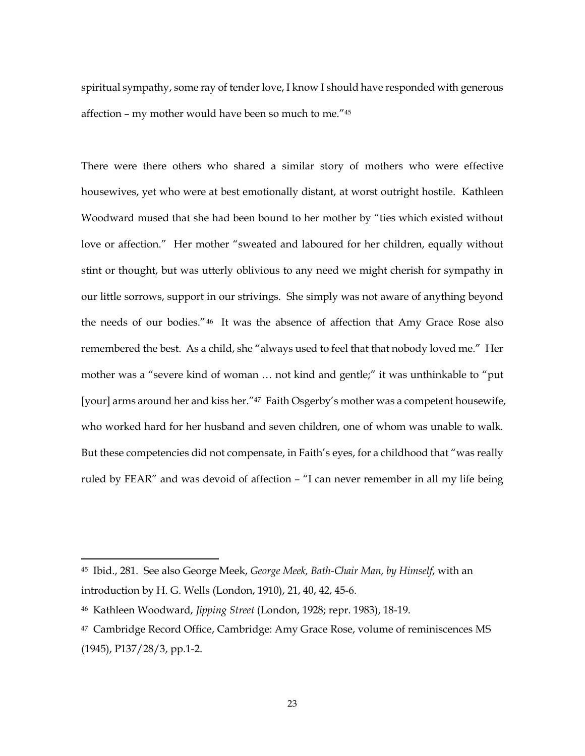spiritual sympathy, some ray of tender love, I know I should have responded with generous affection – my mother would have been so much to me."<sup>45</sup>

There were there others who shared a similar story of mothers who were effective housewives, yet who were at best emotionally distant, at worst outright hostile. Kathleen Woodward mused that she had been bound to her mother by "ties which existed without love or affection." Her mother "sweated and laboured for her children, equally without stint or thought, but was utterly oblivious to any need we might cherish for sympathy in our little sorrows, support in our strivings. She simply was not aware of anything beyond the needs of our bodies."<sup>46</sup> It was the absence of affection that Amy Grace Rose also remembered the best. As a child, she "always used to feel that that nobody loved me." Her mother was a "severe kind of woman … not kind and gentle;" it was unthinkable to "put [your] arms around her and kiss her."<sup>47</sup> Faith Osgerby's mother was a competent housewife, who worked hard for her husband and seven children, one of whom was unable to walk. But these competencies did not compensate, in Faith's eyes, for a childhood that "was really ruled by FEAR" and was devoid of affection – "I can never remember in all my life being

<sup>45</sup> Ibid., 281. See also George Meek, *George Meek, Bath-Chair Man, by Himself*, with an introduction by H. G. Wells (London, 1910), 21, 40, 42, 45-6.

<sup>46</sup> Kathleen Woodward, *Jipping Street* (London, 1928; repr. 1983), 18-19.

<sup>47</sup> Cambridge Record Office, Cambridge: Amy Grace Rose, volume of reminiscences MS (1945), P137/28/3, pp.1-2.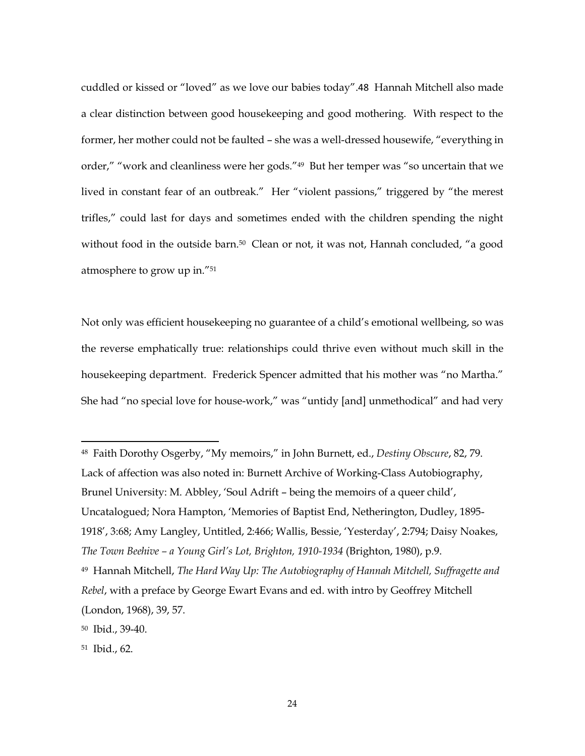cuddled or kissed or "loved" as we love our babies today".48 Hannah Mitchell also made a clear distinction between good housekeeping and good mothering. With respect to the former, her mother could not be faulted – she was a well-dressed housewife, "everything in order," "work and cleanliness were her gods."<sup>49</sup> But her temper was "so uncertain that we lived in constant fear of an outbreak." Her "violent passions," triggered by "the merest trifles," could last for days and sometimes ended with the children spending the night without food in the outside barn.<sup>50</sup> Clean or not, it was not, Hannah concluded, "a good atmosphere to grow up in."<sup>51</sup>

Not only was efficient housekeeping no guarantee of a child's emotional wellbeing, so was the reverse emphatically true: relationships could thrive even without much skill in the housekeeping department. Frederick Spencer admitted that his mother was "no Martha." She had "no special love for house-work," was "untidy [and] unmethodical" and had very

<sup>48</sup> Faith Dorothy Osgerby, "My memoirs," in John Burnett, ed., *Destiny Obscure*, 82, 79. Lack of affection was also noted in: Burnett Archive of Working-Class Autobiography, Brunel University: M. Abbley, 'Soul Adrift – being the memoirs of a queer child', Uncatalogued; Nora Hampton, 'Memories of Baptist End, Netherington, Dudley, 1895- 1918', 3:68; Amy Langley, Untitled, 2:466; Wallis, Bessie, 'Yesterday', 2:794; Daisy Noakes, *The Town Beehive – a Young Girl's Lot, Brighton, 1910-1934* (Brighton, 1980), p.9. <sup>49</sup> Hannah Mitchell, *The Hard Way Up: The Autobiography of Hannah Mitchell, Suffragette and Rebel*, with a preface by George Ewart Evans and ed. with intro by Geoffrey Mitchell (London, 1968), 39, 57.

<sup>50</sup> Ibid., 39-40.

<sup>51</sup> Ibid., 62.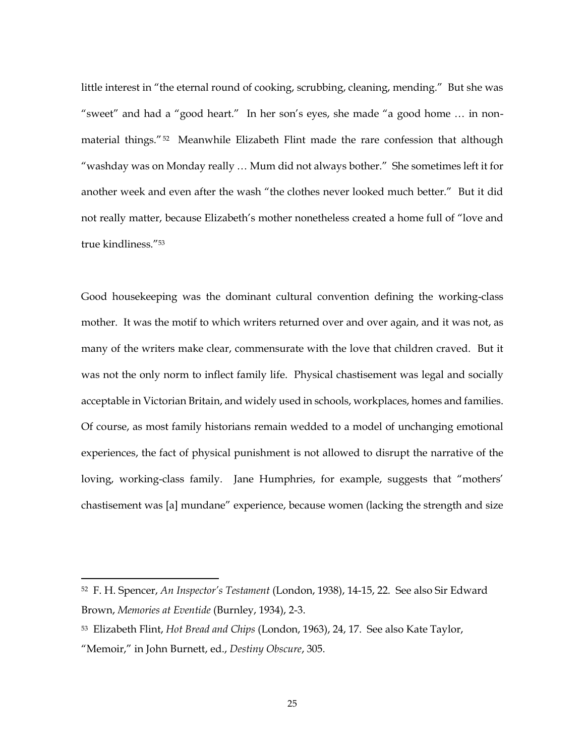little interest in "the eternal round of cooking, scrubbing, cleaning, mending." But she was "sweet" and had a "good heart." In her son's eyes, she made "a good home … in nonmaterial things."52 Meanwhile Elizabeth Flint made the rare confession that although "washday was on Monday really … Mum did not always bother." She sometimes left it for another week and even after the wash "the clothes never looked much better." But it did not really matter, because Elizabeth's mother nonetheless created a home full of "love and true kindliness."<sup>53</sup>

Good housekeeping was the dominant cultural convention defining the working-class mother. It was the motif to which writers returned over and over again, and it was not, as many of the writers make clear, commensurate with the love that children craved. But it was not the only norm to inflect family life. Physical chastisement was legal and socially acceptable in Victorian Britain, and widely used in schools, workplaces, homes and families. Of course, as most family historians remain wedded to a model of unchanging emotional experiences, the fact of physical punishment is not allowed to disrupt the narrative of the loving, working-class family. Jane Humphries, for example, suggests that "mothers' chastisement was [a] mundane" experience, because women (lacking the strength and size

<sup>52</sup> F. H. Spencer, *An Inspector's Testament* (London, 1938), 14-15, 22. See also Sir Edward Brown, *Memories at Eventide* (Burnley, 1934), 2-3.

<sup>53</sup> Elizabeth Flint, *Hot Bread and Chips* (London, 1963), 24, 17. See also Kate Taylor, "Memoir," in John Burnett, ed., *Destiny Obscure*, 305.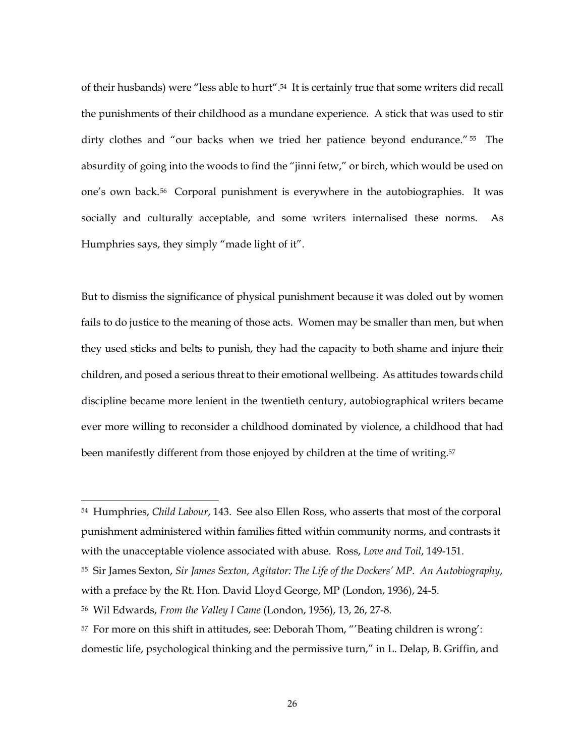of their husbands) were "less able to hurt".54 It is certainly true that some writers did recall the punishments of their childhood as a mundane experience. A stick that was used to stir dirty clothes and "our backs when we tried her patience beyond endurance." <sup>55</sup> The absurdity of going into the woods to find the "jinni fetw," or birch, which would be used on one's own back.56 Corporal punishment is everywhere in the autobiographies. It was socially and culturally acceptable, and some writers internalised these norms. As Humphries says, they simply "made light of it".

But to dismiss the significance of physical punishment because it was doled out by women fails to do justice to the meaning of those acts. Women may be smaller than men, but when they used sticks and belts to punish, they had the capacity to both shame and injure their children, and posed a serious threat to their emotional wellbeing. As attitudes towards child discipline became more lenient in the twentieth century, autobiographical writers became ever more willing to reconsider a childhood dominated by violence, a childhood that had been manifestly different from those enjoyed by children at the time of writing.<sup>57</sup>

<sup>54</sup> Humphries, *Child Labour*, 143. See also Ellen Ross, who asserts that most of the corporal punishment administered within families fitted within community norms, and contrasts it with the unacceptable violence associated with abuse. Ross, *Love and Toil*, 149-151. <sup>55</sup> Sir James Sexton, *Sir James Sexton, Agitator: The Life of the Dockers' MP*. *An Autobiography*,

with a preface by the Rt. Hon. David Lloyd George, MP (London, 1936), 24-5.

<sup>56</sup> Wil Edwards, *From the Valley I Came* (London, 1956), 13, 26, 27-8.

<sup>57</sup> For more on this shift in attitudes, see: Deborah Thom, "'Beating children is wrong': domestic life, psychological thinking and the permissive turn," in L. Delap, B. Griffin, and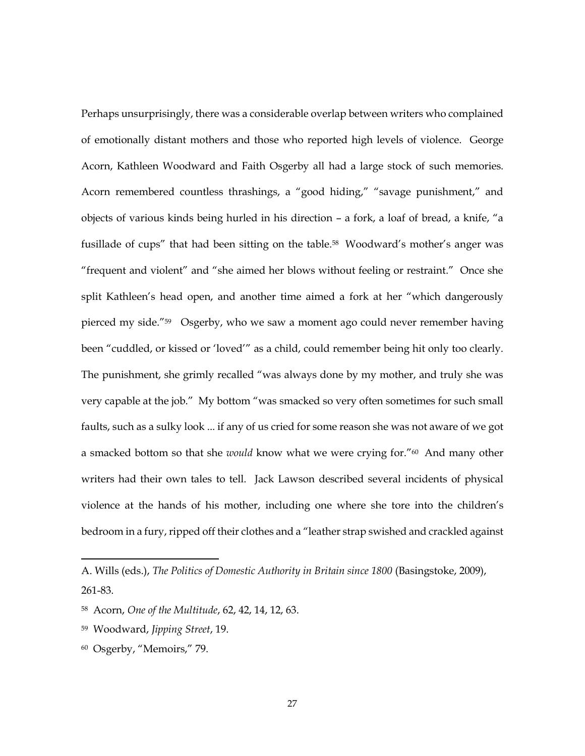Perhaps unsurprisingly, there was a considerable overlap between writers who complained of emotionally distant mothers and those who reported high levels of violence. George Acorn, Kathleen Woodward and Faith Osgerby all had a large stock of such memories. Acorn remembered countless thrashings, a "good hiding," "savage punishment," and objects of various kinds being hurled in his direction – a fork, a loaf of bread, a knife, "a fusillade of cups" that had been sitting on the table.<sup>58</sup> Woodward's mother's anger was "frequent and violent" and "she aimed her blows without feeling or restraint." Once she split Kathleen's head open, and another time aimed a fork at her "which dangerously pierced my side."59 Osgerby, who we saw a moment ago could never remember having been "cuddled, or kissed or 'loved'" as a child, could remember being hit only too clearly. The punishment, she grimly recalled "was always done by my mother, and truly she was very capable at the job." My bottom "was smacked so very often sometimes for such small faults, such as a sulky look ... if any of us cried for some reason she was not aware of we got a smacked bottom so that she *would* know what we were crying for."<sup>60</sup> And many other writers had their own tales to tell. Jack Lawson described several incidents of physical violence at the hands of his mother, including one where she tore into the children's bedroom in a fury, ripped off their clothes and a "leather strap swished and crackled against

60 Osgerby, "Memoirs," 79.

A. Wills (eds.), *The Politics of Domestic Authority in Britain since 1800* (Basingstoke, 2009), 261-83.

<sup>58</sup> Acorn, *One of the Multitude*, 62, 42, 14, 12, 63.

<sup>59</sup> Woodward, *Jipping Street*, 19.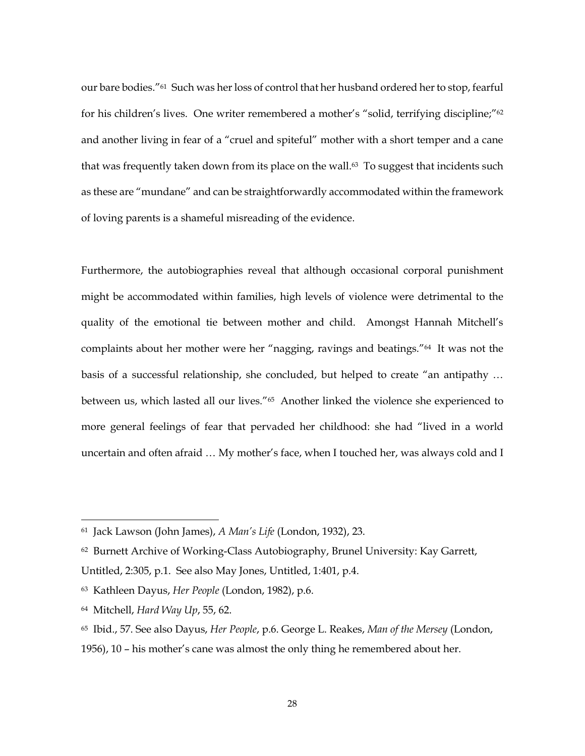our bare bodies."61 Such was her loss of control that her husband ordered her to stop, fearful for his children's lives. One writer remembered a mother's "solid, terrifying discipline;"<sup>62</sup> and another living in fear of a "cruel and spiteful" mother with a short temper and a cane that was frequently taken down from its place on the wall.<sup>63</sup> To suggest that incidents such as these are "mundane" and can be straightforwardly accommodated within the framework of loving parents is a shameful misreading of the evidence.

Furthermore, the autobiographies reveal that although occasional corporal punishment might be accommodated within families, high levels of violence were detrimental to the quality of the emotional tie between mother and child. Amongst Hannah Mitchell's complaints about her mother were her "nagging, ravings and beatings."64 It was not the basis of a successful relationship, she concluded, but helped to create "an antipathy … between us, which lasted all our lives."<sup>65</sup> Another linked the violence she experienced to more general feelings of fear that pervaded her childhood: she had "lived in a world uncertain and often afraid … My mother's face, when I touched her, was always cold and I

<sup>61</sup> Jack Lawson (John James), *A Man's Life* (London, 1932), 23.

<sup>62</sup> Burnett Archive of Working-Class Autobiography, Brunel University: Kay Garrett, Untitled, 2:305, p.1. See also May Jones, Untitled, 1:401, p.4.

<sup>63</sup> Kathleen Dayus, *Her People* (London, 1982), p.6.

<sup>64</sup> Mitchell, *Hard Way Up*, 55, 62.

<sup>65</sup> Ibid., 57. See also Dayus, *Her People*, p.6. George L. Reakes, *Man of the Mersey* (London, 1956), 10 – his mother's cane was almost the only thing he remembered about her.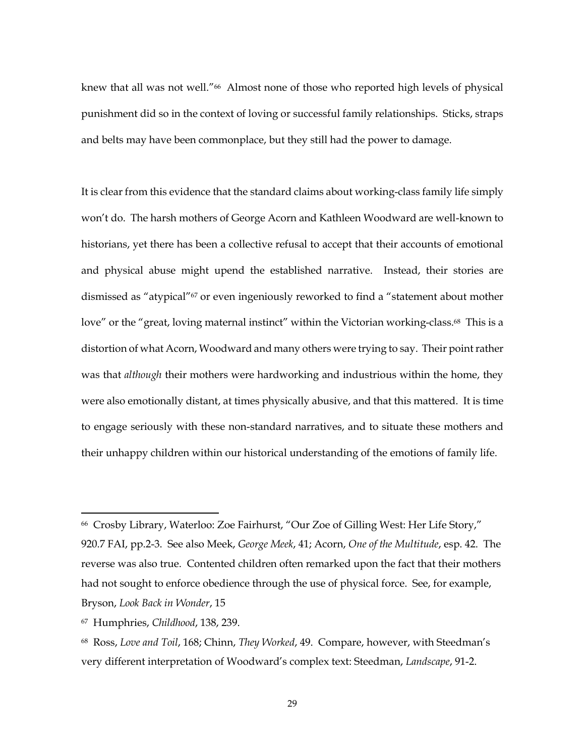knew that all was not well."<sup>66</sup> Almost none of those who reported high levels of physical punishment did so in the context of loving or successful family relationships. Sticks, straps and belts may have been commonplace, but they still had the power to damage.

It is clear from this evidence that the standard claims about working-class family life simply won't do. The harsh mothers of George Acorn and Kathleen Woodward are well-known to historians, yet there has been a collective refusal to accept that their accounts of emotional and physical abuse might upend the established narrative. Instead, their stories are dismissed as "atypical"<sup>67</sup> or even ingeniously reworked to find a "statement about mother love" or the "great, loving maternal instinct" within the Victorian working-class.<sup>68</sup> This is a distortion of what Acorn, Woodward and many others were trying to say. Their point rather was that *although* their mothers were hardworking and industrious within the home, they were also emotionally distant, at times physically abusive, and that this mattered. It is time to engage seriously with these non-standard narratives, and to situate these mothers and their unhappy children within our historical understanding of the emotions of family life.

<sup>66</sup> Crosby Library, Waterloo: Zoe Fairhurst, "Our Zoe of Gilling West: Her Life Story," 920.7 FAI, pp.2-3. See also Meek, *George Meek*, 41; Acorn, *One of the Multitude*, esp. 42. The reverse was also true. Contented children often remarked upon the fact that their mothers had not sought to enforce obedience through the use of physical force. See, for example, Bryson, *Look Back in Wonder*, 15

<sup>67</sup> Humphries, *Childhood*, 138, 239.

<sup>68</sup> Ross, *Love and Toil*, 168; Chinn, *They Worked*, 49. Compare, however, with Steedman's very different interpretation of Woodward's complex text: Steedman, *Landscape*, 91-2.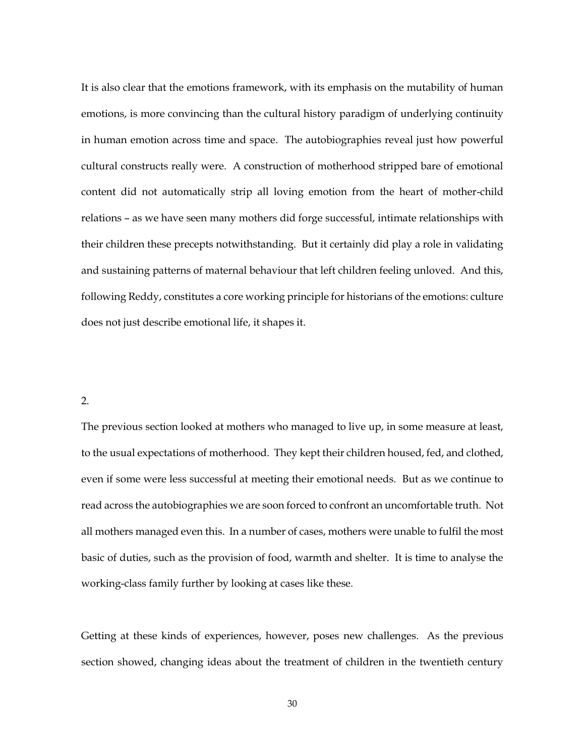It is also clear that the emotions framework, with its emphasis on the mutability of human emotions, is more convincing than the cultural history paradigm of underlying continuity in human emotion across time and space. The autobiographies reveal just how powerful cultural constructs really were. A construction of motherhood stripped bare of emotional content did not automatically strip all loving emotion from the heart of mother-child relations – as we have seen many mothers did forge successful, intimate relationships with their children these precepts notwithstanding. But it certainly did play a role in validating and sustaining patterns of maternal behaviour that left children feeling unloved. And this, following Reddy, constitutes a core working principle for historians of the emotions: culture does not just describe emotional life, it shapes it.

## 2.

The previous section looked at mothers who managed to live up, in some measure at least, to the usual expectations of motherhood. They kept their children housed, fed, and clothed, even if some were less successful at meeting their emotional needs. But as we continue to read across the autobiographies we are soon forced to confront an uncomfortable truth. Not all mothers managed even this. In a number of cases, mothers were unable to fulfil the most basic of duties, such as the provision of food, warmth and shelter. It is time to analyse the working-class family further by looking at cases like these.

Getting at these kinds of experiences, however, poses new challenges. As the previous section showed, changing ideas about the treatment of children in the twentieth century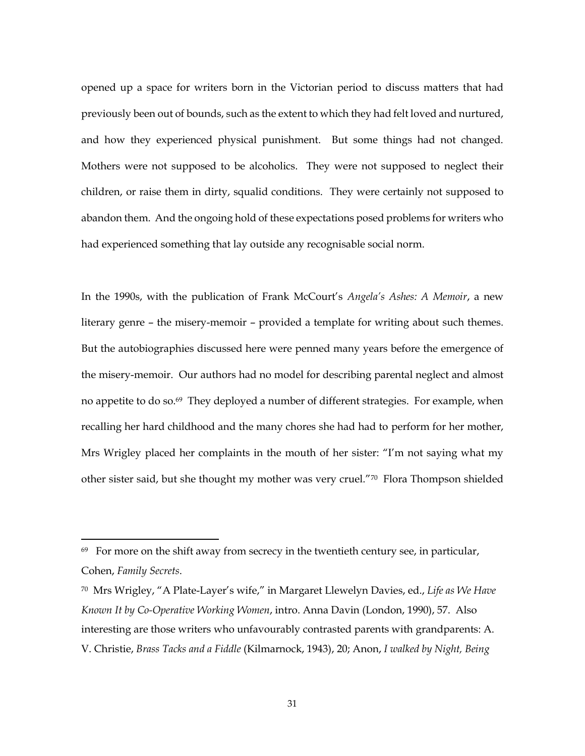opened up a space for writers born in the Victorian period to discuss matters that had previously been out of bounds, such as the extent to which they had felt loved and nurtured, and how they experienced physical punishment. But some things had not changed. Mothers were not supposed to be alcoholics. They were not supposed to neglect their children, or raise them in dirty, squalid conditions. They were certainly not supposed to abandon them. And the ongoing hold of these expectations posed problems for writers who had experienced something that lay outside any recognisable social norm.

In the 1990s, with the publication of Frank McCourt's *Angela's Ashes: A Memoir*, a new literary genre – the misery-memoir – provided a template for writing about such themes. But the autobiographies discussed here were penned many years before the emergence of the misery-memoir. Our authors had no model for describing parental neglect and almost no appetite to do so.69 They deployed a number of different strategies. For example, when recalling her hard childhood and the many chores she had had to perform for her mother, Mrs Wrigley placed her complaints in the mouth of her sister: "I'm not saying what my other sister said, but she thought my mother was very cruel."<sup>70</sup> Flora Thompson shielded

<sup>&</sup>lt;sup>69</sup> For more on the shift away from secrecy in the twentieth century see, in particular, Cohen, *Family Secrets*.

<sup>70</sup> Mrs Wrigley, "A Plate-Layer's wife," in Margaret Llewelyn Davies, ed., *Life as We Have Known It by Co-Operative Working Women*, intro. Anna Davin (London, 1990), 57. Also interesting are those writers who unfavourably contrasted parents with grandparents: A. V. Christie, *Brass Tacks and a Fiddle* (Kilmarnock, 1943), 20; Anon, *I walked by Night, Being*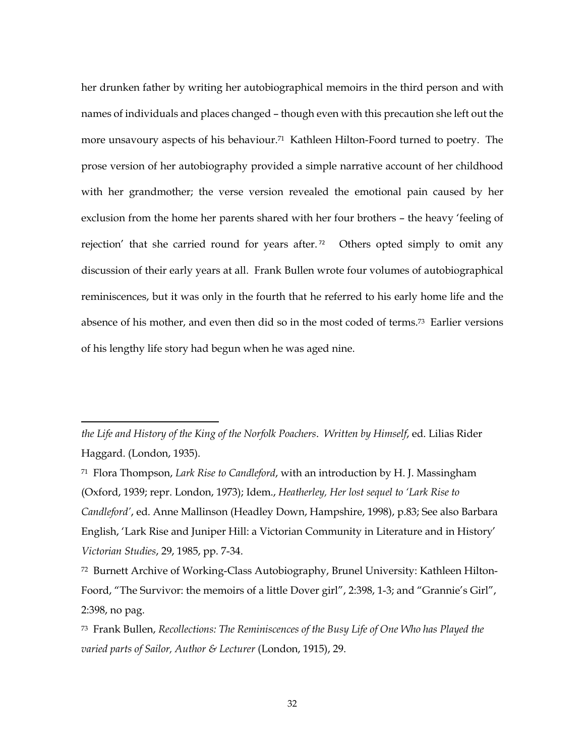her drunken father by writing her autobiographical memoirs in the third person and with names of individuals and places changed – though even with this precaution she left out the more unsavoury aspects of his behaviour. <sup>71</sup> Kathleen Hilton-Foord turned to poetry. The prose version of her autobiography provided a simple narrative account of her childhood with her grandmother; the verse version revealed the emotional pain caused by her exclusion from the home her parents shared with her four brothers – the heavy 'feeling of rejection' that she carried round for years after. <sup>72</sup> Others opted simply to omit any discussion of their early years at all. Frank Bullen wrote four volumes of autobiographical reminiscences, but it was only in the fourth that he referred to his early home life and the absence of his mother, and even then did so in the most coded of terms.73 Earlier versions of his lengthy life story had begun when he was aged nine.

*the Life and History of the King of the Norfolk Poachers*. *Written by Himself*, ed. Lilias Rider Haggard. (London, 1935).

<sup>71</sup> Flora Thompson, *Lark Rise to Candleford*, with an introduction by H. J. Massingham (Oxford, 1939; repr. London, 1973); Idem., *Heatherley, Her lost sequel to 'Lark Rise to Candleford'*, ed. Anne Mallinson (Headley Down, Hampshire, 1998), p.83; See also Barbara English, 'Lark Rise and Juniper Hill: a Victorian Community in Literature and in History' *Victorian Studies*, 29, 1985, pp. 7-34.

<sup>72</sup> Burnett Archive of Working-Class Autobiography, Brunel University: Kathleen Hilton-Foord, "The Survivor: the memoirs of a little Dover girl", 2:398, 1-3; and "Grannie's Girl", 2:398, no pag.

<sup>73</sup> Frank Bullen, *Recollections: The Reminiscences of the Busy Life of One Who has Played the varied parts of Sailor, Author & Lecturer* (London, 1915), 29.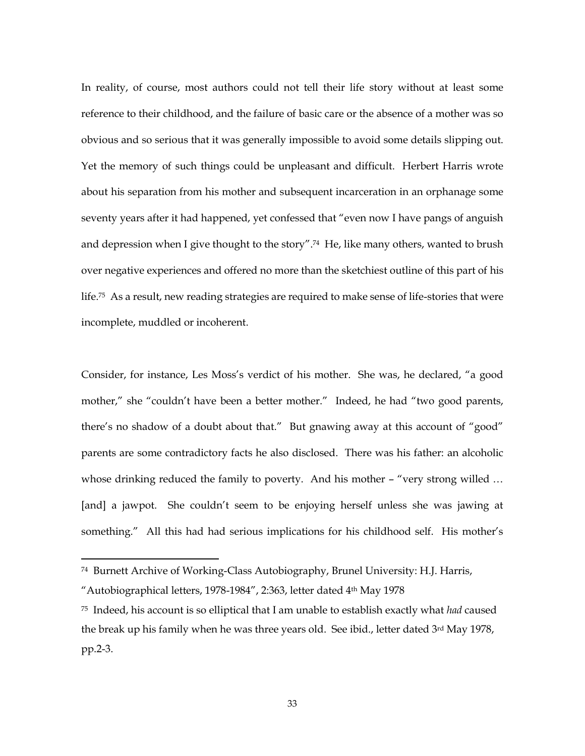In reality, of course, most authors could not tell their life story without at least some reference to their childhood, and the failure of basic care or the absence of a mother was so obvious and so serious that it was generally impossible to avoid some details slipping out. Yet the memory of such things could be unpleasant and difficult. Herbert Harris wrote about his separation from his mother and subsequent incarceration in an orphanage some seventy years after it had happened, yet confessed that "even now I have pangs of anguish and depression when I give thought to the story".74 He, like many others, wanted to brush over negative experiences and offered no more than the sketchiest outline of this part of his life. <sup>75</sup> As a result, new reading strategies are required to make sense of life-stories that were incomplete, muddled or incoherent.

Consider, for instance, Les Moss's verdict of his mother. She was, he declared, "a good mother," she "couldn't have been a better mother." Indeed, he had "two good parents, there's no shadow of a doubt about that." But gnawing away at this account of "good" parents are some contradictory facts he also disclosed. There was his father: an alcoholic whose drinking reduced the family to poverty. And his mother - "very strong willed ... [and] a jawpot. She couldn't seem to be enjoying herself unless she was jawing at something." All this had had serious implications for his childhood self. His mother's

<sup>74</sup> Burnett Archive of Working-Class Autobiography, Brunel University: H.J. Harris,

<sup>&</sup>quot;Autobiographical letters, 1978-1984", 2:363, letter dated 4th May 1978

<sup>75</sup> Indeed, his account is so elliptical that I am unable to establish exactly what *had* caused the break up his family when he was three years old. See ibid., letter dated 3rd May 1978, pp.2-3.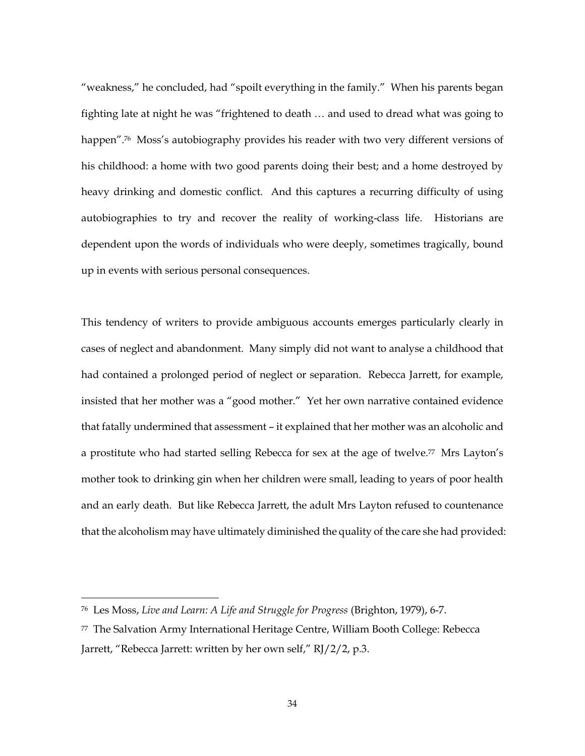"weakness," he concluded, had "spoilt everything in the family." When his parents began fighting late at night he was "frightened to death … and used to dread what was going to happen".<sup>76</sup> Moss's autobiography provides his reader with two very different versions of his childhood: a home with two good parents doing their best; and a home destroyed by heavy drinking and domestic conflict. And this captures a recurring difficulty of using autobiographies to try and recover the reality of working-class life. Historians are dependent upon the words of individuals who were deeply, sometimes tragically, bound up in events with serious personal consequences.

This tendency of writers to provide ambiguous accounts emerges particularly clearly in cases of neglect and abandonment. Many simply did not want to analyse a childhood that had contained a prolonged period of neglect or separation. Rebecca Jarrett, for example, insisted that her mother was a "good mother." Yet her own narrative contained evidence that fatally undermined that assessment – it explained that her mother was an alcoholic and a prostitute who had started selling Rebecca for sex at the age of twelve.<sup>77</sup> Mrs Layton's mother took to drinking gin when her children were small, leading to years of poor health and an early death. But like Rebecca Jarrett, the adult Mrs Layton refused to countenance that the alcoholism may have ultimately diminished the quality of the care she had provided:

<sup>76</sup> Les Moss, *Live and Learn: A Life and Struggle for Progress* (Brighton, 1979), 6-7.

<sup>77</sup> The Salvation Army International Heritage Centre, William Booth College: Rebecca Jarrett, "Rebecca Jarrett: written by her own self," RJ/2/2, p.3.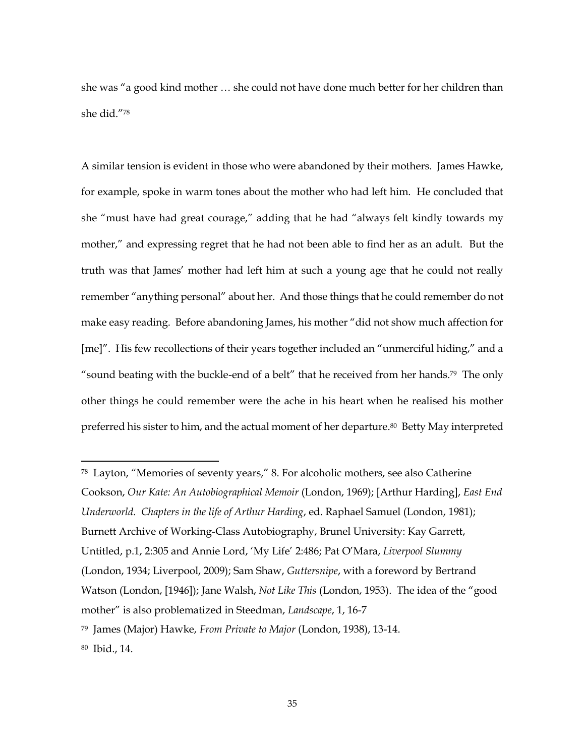she was "a good kind mother … she could not have done much better for her children than she did."<sup>78</sup>

A similar tension is evident in those who were abandoned by their mothers. James Hawke, for example, spoke in warm tones about the mother who had left him. He concluded that she "must have had great courage," adding that he had "always felt kindly towards my mother," and expressing regret that he had not been able to find her as an adult. But the truth was that James' mother had left him at such a young age that he could not really remember "anything personal" about her. And those things that he could remember do not make easy reading. Before abandoning James, his mother "did not show much affection for [me]". His few recollections of their years together included an "unmerciful hiding," and a "sound beating with the buckle-end of a belt" that he received from her hands.79 The only other things he could remember were the ache in his heart when he realised his mother preferred his sister to him, and the actual moment of her departure.<sup>80</sup> Betty May interpreted

<sup>78</sup> Layton, "Memories of seventy years," 8. For alcoholic mothers, see also Catherine Cookson, *Our Kate: An Autobiographical Memoir* (London, 1969); [Arthur Harding], *East End Underworld. Chapters in the life of Arthur Harding*, ed. Raphael Samuel (London, 1981); Burnett Archive of Working-Class Autobiography, Brunel University: Kay Garrett, Untitled, p.1, 2:305 and Annie Lord, 'My Life' 2:486; Pat O'Mara, *Liverpool Slummy* (London, 1934; Liverpool, 2009); Sam Shaw, *Guttersnipe*, with a foreword by Bertrand Watson (London, [1946]); Jane Walsh, *Not Like This* (London, 1953). The idea of the "good mother" is also problematized in Steedman, *Landscape*, 1, 16-7 <sup>79</sup> James (Major) Hawke, *From Private to Major* (London, 1938), 13-14. 80 Ibid., 14.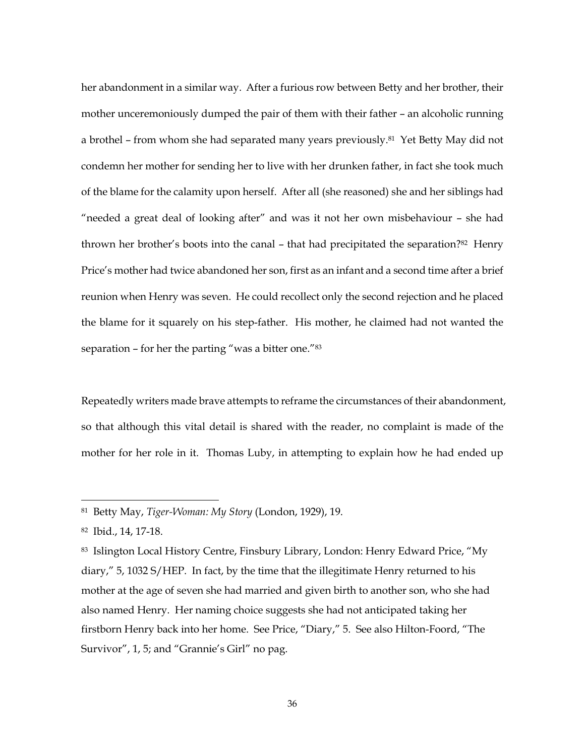her abandonment in a similar way. After a furious row between Betty and her brother, their mother unceremoniously dumped the pair of them with their father – an alcoholic running a brothel – from whom she had separated many years previously.81 Yet Betty May did not condemn her mother for sending her to live with her drunken father, in fact she took much of the blame for the calamity upon herself. After all (she reasoned) she and her siblings had "needed a great deal of looking after" and was it not her own misbehaviour – she had thrown her brother's boots into the canal – that had precipitated the separation?82 Henry Price's mother had twice abandoned her son, first as an infant and a second time after a brief reunion when Henry was seven. He could recollect only the second rejection and he placed the blame for it squarely on his step-father. His mother, he claimed had not wanted the separation – for her the parting "was a bitter one."<sup>83</sup>

Repeatedly writers made brave attempts to reframe the circumstances of their abandonment, so that although this vital detail is shared with the reader, no complaint is made of the mother for her role in it. Thomas Luby, in attempting to explain how he had ended up

<sup>81</sup> Betty May, *Tiger-Woman: My Story* (London, 1929), 19.

<sup>82</sup> Ibid., 14, 17-18.

<sup>83</sup> Islington Local History Centre, Finsbury Library, London: Henry Edward Price, "My diary," 5, 1032 S/HEP. In fact, by the time that the illegitimate Henry returned to his mother at the age of seven she had married and given birth to another son, who she had also named Henry. Her naming choice suggests she had not anticipated taking her firstborn Henry back into her home. See Price, "Diary," 5. See also Hilton-Foord, "The Survivor", 1, 5; and "Grannie's Girl" no pag.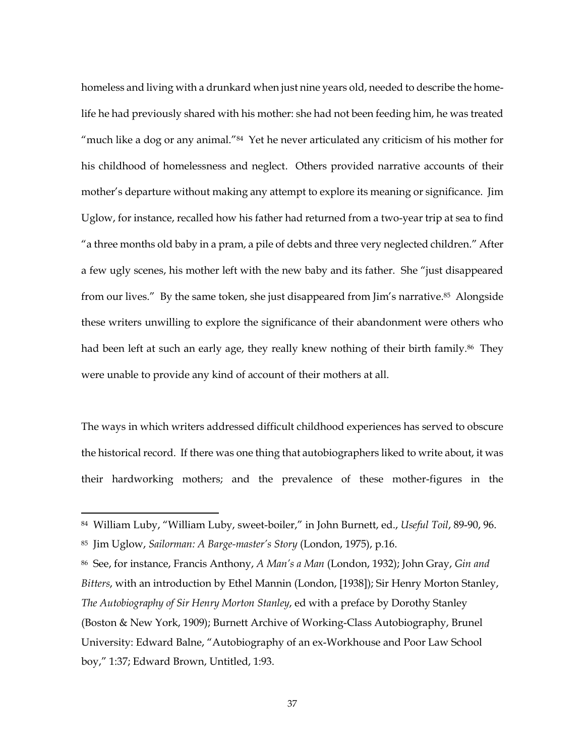homeless and living with a drunkard when just nine years old, needed to describe the homelife he had previously shared with his mother: she had not been feeding him, he was treated "much like a dog or any animal."<sup>84</sup> Yet he never articulated any criticism of his mother for his childhood of homelessness and neglect. Others provided narrative accounts of their mother's departure without making any attempt to explore its meaning or significance. Jim Uglow, for instance, recalled how his father had returned from a two-year trip at sea to find "a three months old baby in a pram, a pile of debts and three very neglected children." After a few ugly scenes, his mother left with the new baby and its father. She "just disappeared from our lives." By the same token, she just disappeared from Jim's narrative.<sup>85</sup> Alongside these writers unwilling to explore the significance of their abandonment were others who had been left at such an early age, they really knew nothing of their birth family.<sup>86</sup> They were unable to provide any kind of account of their mothers at all.

The ways in which writers addressed difficult childhood experiences has served to obscure the historical record. If there was one thing that autobiographers liked to write about, it was their hardworking mothers; and the prevalence of these mother-figures in the

 $\overline{a}$ 

<sup>86</sup> See, for instance, Francis Anthony, *A Man's a Man* (London, 1932); John Gray, *Gin and Bitters*, with an introduction by Ethel Mannin (London, [1938]); Sir Henry Morton Stanley, *The Autobiography of Sir Henry Morton Stanley*, ed with a preface by Dorothy Stanley (Boston & New York, 1909); Burnett Archive of Working-Class Autobiography, Brunel University: Edward Balne, "Autobiography of an ex-Workhouse and Poor Law School boy," 1:37; Edward Brown, Untitled, 1:93.

<sup>84</sup> William Luby, "William Luby, sweet-boiler," in John Burnett, ed., *Useful Toil*, 89-90, 96. <sup>85</sup> Jim Uglow, *Sailorman: A Barge-master's Story* (London, 1975), p.16.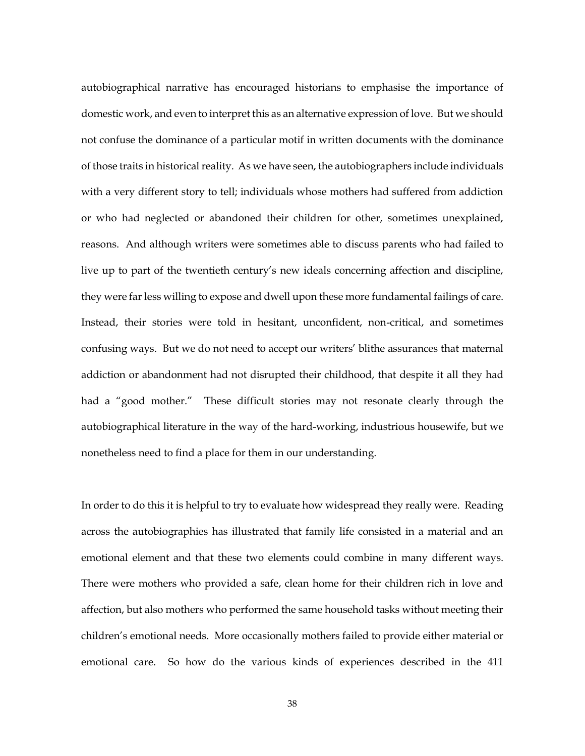autobiographical narrative has encouraged historians to emphasise the importance of domestic work, and even to interpret this as an alternative expression of love. But we should not confuse the dominance of a particular motif in written documents with the dominance of those traits in historical reality. As we have seen, the autobiographers include individuals with a very different story to tell; individuals whose mothers had suffered from addiction or who had neglected or abandoned their children for other, sometimes unexplained, reasons. And although writers were sometimes able to discuss parents who had failed to live up to part of the twentieth century's new ideals concerning affection and discipline, they were far less willing to expose and dwell upon these more fundamental failings of care. Instead, their stories were told in hesitant, unconfident, non-critical, and sometimes confusing ways. But we do not need to accept our writers' blithe assurances that maternal addiction or abandonment had not disrupted their childhood, that despite it all they had had a "good mother." These difficult stories may not resonate clearly through the autobiographical literature in the way of the hard-working, industrious housewife, but we nonetheless need to find a place for them in our understanding.

In order to do this it is helpful to try to evaluate how widespread they really were. Reading across the autobiographies has illustrated that family life consisted in a material and an emotional element and that these two elements could combine in many different ways. There were mothers who provided a safe, clean home for their children rich in love and affection, but also mothers who performed the same household tasks without meeting their children's emotional needs. More occasionally mothers failed to provide either material or emotional care. So how do the various kinds of experiences described in the 411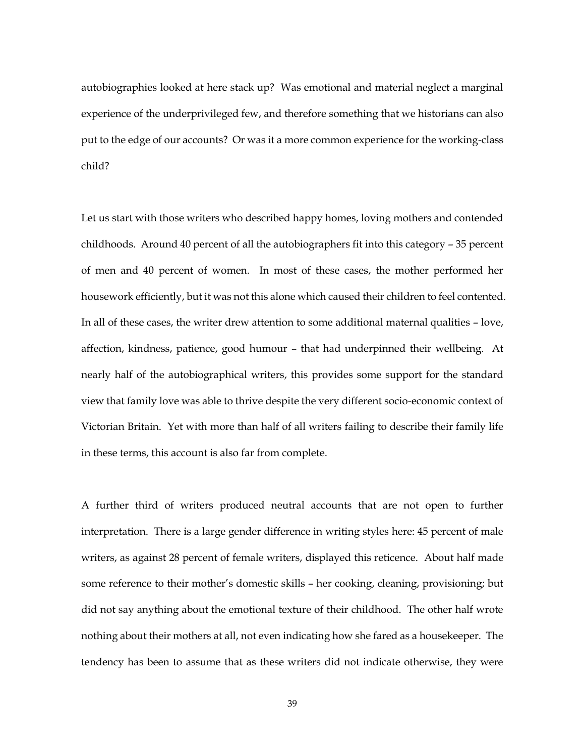autobiographies looked at here stack up? Was emotional and material neglect a marginal experience of the underprivileged few, and therefore something that we historians can also put to the edge of our accounts? Or was it a more common experience for the working-class child?

Let us start with those writers who described happy homes, loving mothers and contended childhoods. Around 40 percent of all the autobiographers fit into this category – 35 percent of men and 40 percent of women. In most of these cases, the mother performed her housework efficiently, but it was not this alone which caused their children to feel contented. In all of these cases, the writer drew attention to some additional maternal qualities – love, affection, kindness, patience, good humour – that had underpinned their wellbeing. At nearly half of the autobiographical writers, this provides some support for the standard view that family love was able to thrive despite the very different socio-economic context of Victorian Britain. Yet with more than half of all writers failing to describe their family life in these terms, this account is also far from complete.

A further third of writers produced neutral accounts that are not open to further interpretation. There is a large gender difference in writing styles here: 45 percent of male writers, as against 28 percent of female writers, displayed this reticence. About half made some reference to their mother's domestic skills – her cooking, cleaning, provisioning; but did not say anything about the emotional texture of their childhood. The other half wrote nothing about their mothers at all, not even indicating how she fared as a housekeeper. The tendency has been to assume that as these writers did not indicate otherwise, they were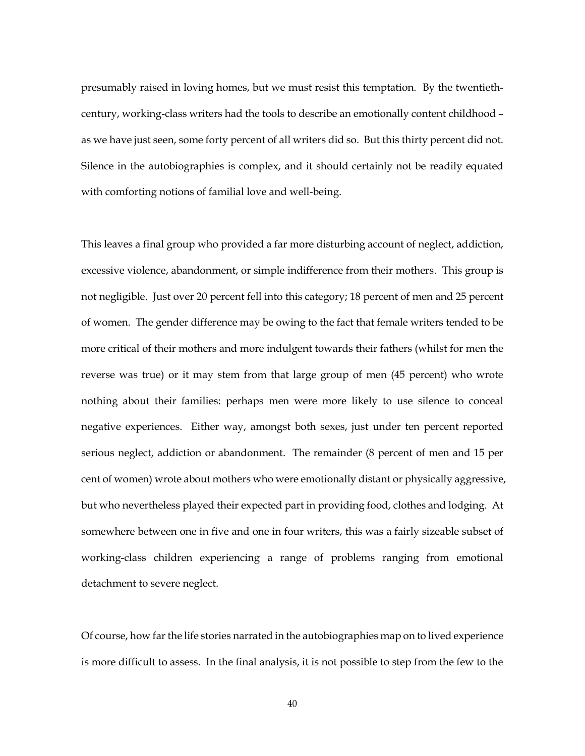presumably raised in loving homes, but we must resist this temptation. By the twentiethcentury, working-class writers had the tools to describe an emotionally content childhood – as we have just seen, some forty percent of all writers did so. But this thirty percent did not. Silence in the autobiographies is complex, and it should certainly not be readily equated with comforting notions of familial love and well-being.

This leaves a final group who provided a far more disturbing account of neglect, addiction, excessive violence, abandonment, or simple indifference from their mothers. This group is not negligible. Just over 20 percent fell into this category; 18 percent of men and 25 percent of women. The gender difference may be owing to the fact that female writers tended to be more critical of their mothers and more indulgent towards their fathers (whilst for men the reverse was true) or it may stem from that large group of men (45 percent) who wrote nothing about their families: perhaps men were more likely to use silence to conceal negative experiences. Either way, amongst both sexes, just under ten percent reported serious neglect, addiction or abandonment. The remainder (8 percent of men and 15 per cent of women) wrote about mothers who were emotionally distant or physically aggressive, but who nevertheless played their expected part in providing food, clothes and lodging. At somewhere between one in five and one in four writers, this was a fairly sizeable subset of working-class children experiencing a range of problems ranging from emotional detachment to severe neglect.

Of course, how far the life stories narrated in the autobiographies map on to lived experience is more difficult to assess. In the final analysis, it is not possible to step from the few to the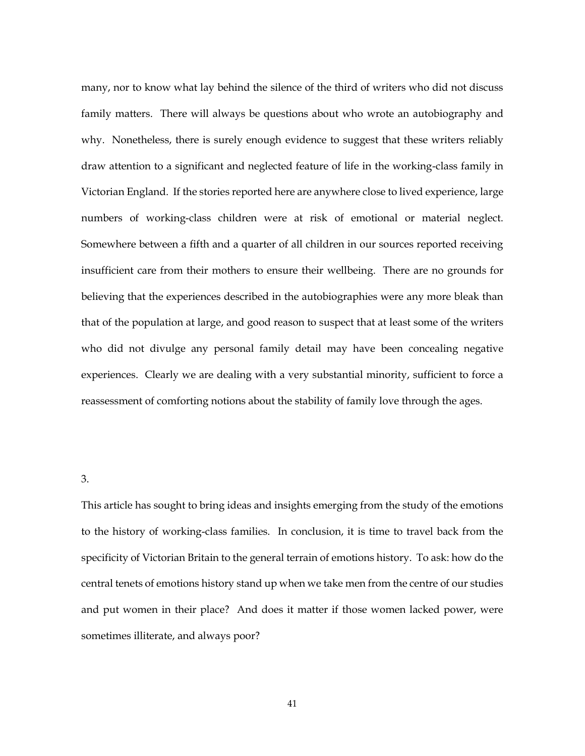many, nor to know what lay behind the silence of the third of writers who did not discuss family matters. There will always be questions about who wrote an autobiography and why. Nonetheless, there is surely enough evidence to suggest that these writers reliably draw attention to a significant and neglected feature of life in the working-class family in Victorian England. If the stories reported here are anywhere close to lived experience, large numbers of working-class children were at risk of emotional or material neglect. Somewhere between a fifth and a quarter of all children in our sources reported receiving insufficient care from their mothers to ensure their wellbeing. There are no grounds for believing that the experiences described in the autobiographies were any more bleak than that of the population at large, and good reason to suspect that at least some of the writers who did not divulge any personal family detail may have been concealing negative experiences. Clearly we are dealing with a very substantial minority, sufficient to force a reassessment of comforting notions about the stability of family love through the ages.

3.

This article has sought to bring ideas and insights emerging from the study of the emotions to the history of working-class families. In conclusion, it is time to travel back from the specificity of Victorian Britain to the general terrain of emotions history. To ask: how do the central tenets of emotions history stand up when we take men from the centre of our studies and put women in their place? And does it matter if those women lacked power, were sometimes illiterate, and always poor?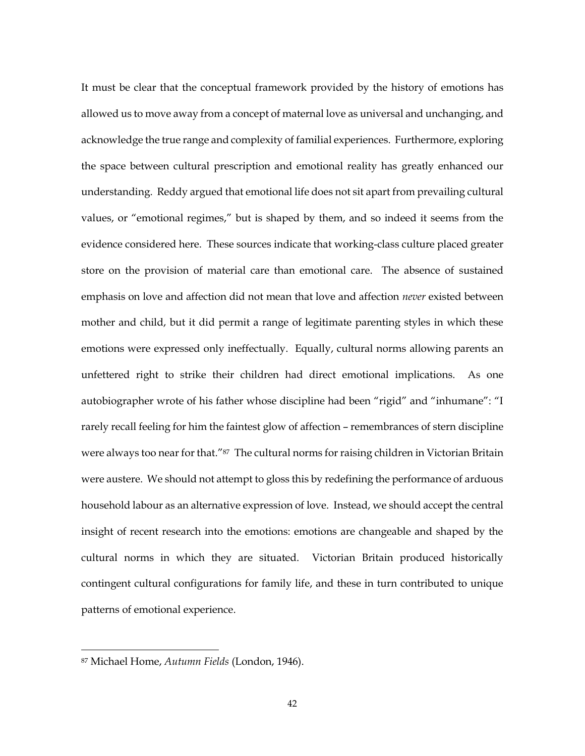It must be clear that the conceptual framework provided by the history of emotions has allowed us to move away from a concept of maternal love as universal and unchanging, and acknowledge the true range and complexity of familial experiences. Furthermore, exploring the space between cultural prescription and emotional reality has greatly enhanced our understanding. Reddy argued that emotional life does not sit apart from prevailing cultural values, or "emotional regimes," but is shaped by them, and so indeed it seems from the evidence considered here. These sources indicate that working-class culture placed greater store on the provision of material care than emotional care. The absence of sustained emphasis on love and affection did not mean that love and affection *never* existed between mother and child, but it did permit a range of legitimate parenting styles in which these emotions were expressed only ineffectually. Equally, cultural norms allowing parents an unfettered right to strike their children had direct emotional implications. As one autobiographer wrote of his father whose discipline had been "rigid" and "inhumane": "I rarely recall feeling for him the faintest glow of affection – remembrances of stern discipline were always too near for that."<sup>87</sup> The cultural norms for raising children in Victorian Britain were austere. We should not attempt to gloss this by redefining the performance of arduous household labour as an alternative expression of love. Instead, we should accept the central insight of recent research into the emotions: emotions are changeable and shaped by the cultural norms in which they are situated. Victorian Britain produced historically contingent cultural configurations for family life, and these in turn contributed to unique patterns of emotional experience.

<sup>87</sup> Michael Home, *Autumn Fields* (London, 1946).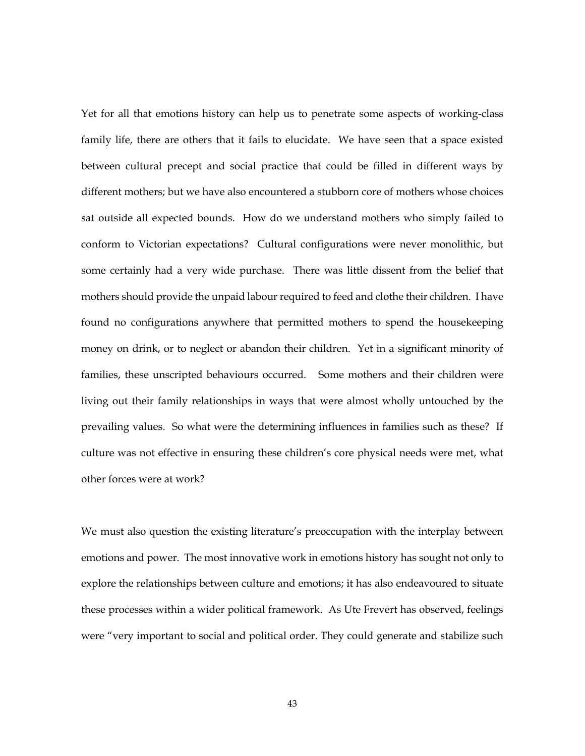Yet for all that emotions history can help us to penetrate some aspects of working-class family life, there are others that it fails to elucidate. We have seen that a space existed between cultural precept and social practice that could be filled in different ways by different mothers; but we have also encountered a stubborn core of mothers whose choices sat outside all expected bounds. How do we understand mothers who simply failed to conform to Victorian expectations? Cultural configurations were never monolithic, but some certainly had a very wide purchase. There was little dissent from the belief that mothers should provide the unpaid labour required to feed and clothe their children. I have found no configurations anywhere that permitted mothers to spend the housekeeping money on drink, or to neglect or abandon their children. Yet in a significant minority of families, these unscripted behaviours occurred. Some mothers and their children were living out their family relationships in ways that were almost wholly untouched by the prevailing values. So what were the determining influences in families such as these? If culture was not effective in ensuring these children's core physical needs were met, what other forces were at work?

We must also question the existing literature's preoccupation with the interplay between emotions and power. The most innovative work in emotions history has sought not only to explore the relationships between culture and emotions; it has also endeavoured to situate these processes within a wider political framework. As Ute Frevert has observed, feelings were "very important to social and political order. They could generate and stabilize such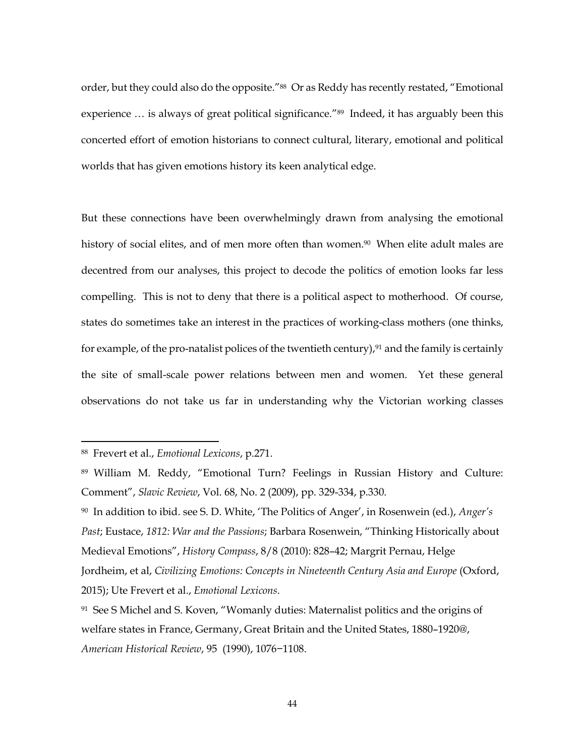order, but they could also do the opposite."88 Or as Reddy has recently restated, "Emotional experience ... is always of great political significance."<sup>89</sup> Indeed, it has arguably been this concerted effort of emotion historians to connect cultural, literary, emotional and political worlds that has given emotions history its keen analytical edge.

But these connections have been overwhelmingly drawn from analysing the emotional history of social elites, and of men more often than women.<sup>90</sup> When elite adult males are decentred from our analyses, this project to decode the politics of emotion looks far less compelling. This is not to deny that there is a political aspect to motherhood. Of course, states do sometimes take an interest in the practices of working-class mothers (one thinks, for example, of the pro-natalist polices of the twentieth century), $91$  and the family is certainly the site of small-scale power relations between men and women. Yet these general observations do not take us far in understanding why the Victorian working classes

<sup>88</sup> Frevert et al., *Emotional Lexicons*, p.271.

<sup>89</sup> William M. Reddy, "Emotional Turn? Feelings in Russian History and Culture: Comment", *Slavic Review*, Vol. 68, No. 2 (2009), pp. 329-334, p.330.

<sup>90</sup> In addition to ibid. see S. D. White, 'The Politics of Anger', in Rosenwein (ed.), *Anger's Past*; Eustace, *1812: War and the Passions*; Barbara Rosenwein, "Thinking Historically about Medieval Emotions", *History Compass*, 8/8 (2010): 828–42; Margrit Pernau, Helge Jordheim, et al, *Civilizing Emotions: Concepts in Nineteenth Century Asia and Europe* (Oxford, 2015); Ute Frevert et al., *Emotional Lexicons*.

<sup>91</sup> See S Michel and S. Koven, "Womanly duties: Maternalist politics and the origins of welfare states in France, Germany, Great Britain and the United States, 1880–1920@, *American Historical Review*, 95 (1990), 1076−1108.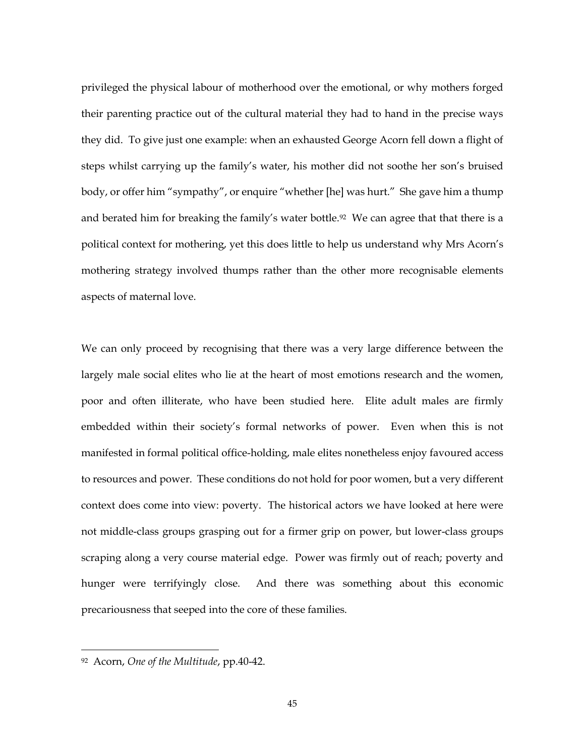privileged the physical labour of motherhood over the emotional, or why mothers forged their parenting practice out of the cultural material they had to hand in the precise ways they did. To give just one example: when an exhausted George Acorn fell down a flight of steps whilst carrying up the family's water, his mother did not soothe her son's bruised body, or offer him "sympathy", or enquire "whether [he] was hurt." She gave him a thump and berated him for breaking the family's water bottle.<sup>92</sup> We can agree that that there is a political context for mothering, yet this does little to help us understand why Mrs Acorn's mothering strategy involved thumps rather than the other more recognisable elements aspects of maternal love.

We can only proceed by recognising that there was a very large difference between the largely male social elites who lie at the heart of most emotions research and the women, poor and often illiterate, who have been studied here. Elite adult males are firmly embedded within their society's formal networks of power. Even when this is not manifested in formal political office-holding, male elites nonetheless enjoy favoured access to resources and power. These conditions do not hold for poor women, but a very different context does come into view: poverty. The historical actors we have looked at here were not middle-class groups grasping out for a firmer grip on power, but lower-class groups scraping along a very course material edge. Power was firmly out of reach; poverty and hunger were terrifyingly close. And there was something about this economic precariousness that seeped into the core of these families.

<sup>92</sup> Acorn, *One of the Multitude*, pp.40-42.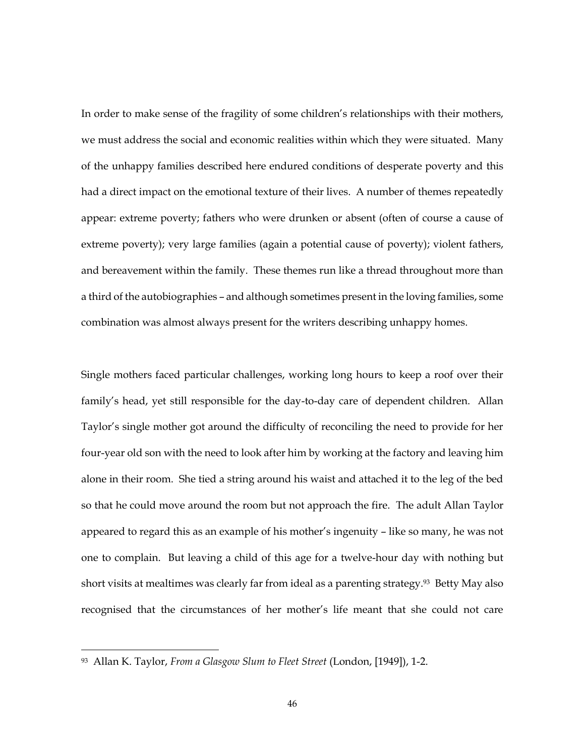In order to make sense of the fragility of some children's relationships with their mothers, we must address the social and economic realities within which they were situated. Many of the unhappy families described here endured conditions of desperate poverty and this had a direct impact on the emotional texture of their lives. A number of themes repeatedly appear: extreme poverty; fathers who were drunken or absent (often of course a cause of extreme poverty); very large families (again a potential cause of poverty); violent fathers, and bereavement within the family. These themes run like a thread throughout more than a third of the autobiographies – and although sometimes present in the loving families, some combination was almost always present for the writers describing unhappy homes.

Single mothers faced particular challenges, working long hours to keep a roof over their family's head, yet still responsible for the day-to-day care of dependent children. Allan Taylor's single mother got around the difficulty of reconciling the need to provide for her four-year old son with the need to look after him by working at the factory and leaving him alone in their room. She tied a string around his waist and attached it to the leg of the bed so that he could move around the room but not approach the fire. The adult Allan Taylor appeared to regard this as an example of his mother's ingenuity – like so many, he was not one to complain. But leaving a child of this age for a twelve-hour day with nothing but short visits at mealtimes was clearly far from ideal as a parenting strategy.<sup>93</sup> Betty May also recognised that the circumstances of her mother's life meant that she could not care

<sup>93</sup> Allan K. Taylor, *From a Glasgow Slum to Fleet Street* (London, [1949]), 1-2.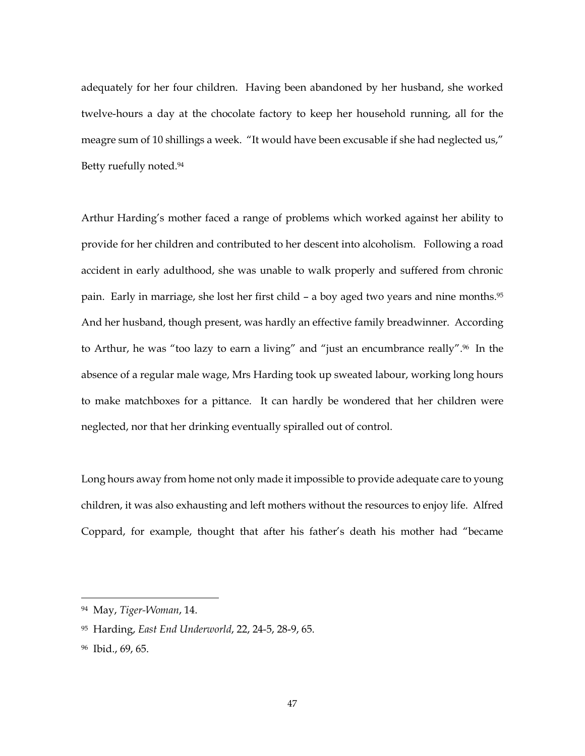adequately for her four children. Having been abandoned by her husband, she worked twelve-hours a day at the chocolate factory to keep her household running, all for the meagre sum of 10 shillings a week. "It would have been excusable if she had neglected us," Betty ruefully noted.<sup>94</sup>

Arthur Harding's mother faced a range of problems which worked against her ability to provide for her children and contributed to her descent into alcoholism. Following a road accident in early adulthood, she was unable to walk properly and suffered from chronic pain. Early in marriage, she lost her first child – a boy aged two years and nine months.<sup>95</sup> And her husband, though present, was hardly an effective family breadwinner. According to Arthur, he was "too lazy to earn a living" and "just an encumbrance really".<sup>96</sup> In the absence of a regular male wage, Mrs Harding took up sweated labour, working long hours to make matchboxes for a pittance. It can hardly be wondered that her children were neglected, nor that her drinking eventually spiralled out of control.

Long hours away from home not only made it impossible to provide adequate care to young children, it was also exhausting and left mothers without the resources to enjoy life. Alfred Coppard, for example, thought that after his father's death his mother had "became

<sup>94</sup> May, *Tiger-Woman*, 14.

<sup>95</sup> Harding, *East End Underworld*, 22, 24-5, 28-9, 65.

<sup>96</sup> Ibid., 69, 65.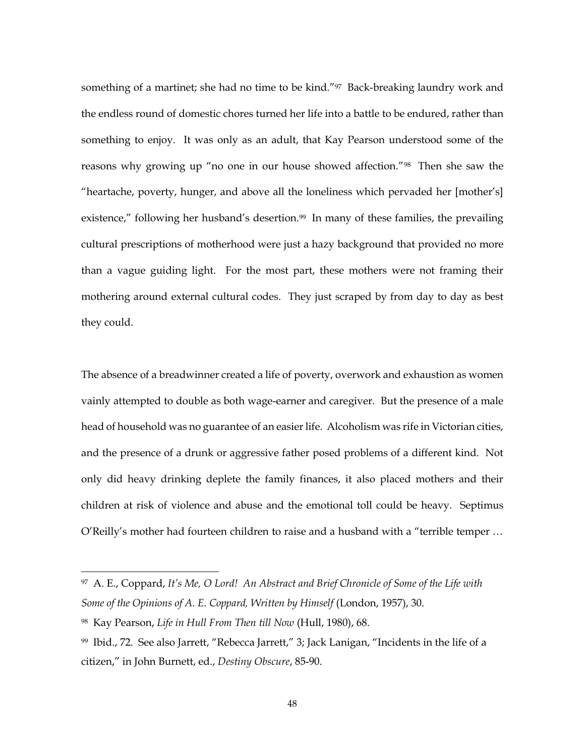something of a martinet; she had no time to be kind."97 Back-breaking laundry work and the endless round of domestic chores turned her life into a battle to be endured, rather than something to enjoy. It was only as an adult, that Kay Pearson understood some of the reasons why growing up "no one in our house showed affection."98 Then she saw the "heartache, poverty, hunger, and above all the loneliness which pervaded her [mother's] existence," following her husband's desertion.<sup>99</sup> In many of these families, the prevailing cultural prescriptions of motherhood were just a hazy background that provided no more than a vague guiding light. For the most part, these mothers were not framing their mothering around external cultural codes. They just scraped by from day to day as best they could.

The absence of a breadwinner created a life of poverty, overwork and exhaustion as women vainly attempted to double as both wage-earner and caregiver. But the presence of a male head of household was no guarantee of an easier life. Alcoholism was rife in Victorian cities, and the presence of a drunk or aggressive father posed problems of a different kind. Not only did heavy drinking deplete the family finances, it also placed mothers and their children at risk of violence and abuse and the emotional toll could be heavy. Septimus O'Reilly's mother had fourteen children to raise and a husband with a "terrible temper …

<sup>97</sup> A. E., Coppard, *It's Me, O Lord! An Abstract and Brief Chronicle of Some of the Life with Some of the Opinions of A. E. Coppard, Written by Himself* (London, 1957), 30.

<sup>98</sup> Kay Pearson, *Life in Hull From Then till Now* (Hull, 1980), 68.

<sup>99</sup> Ibid., 72. See also Jarrett, "Rebecca Jarrett," 3; Jack Lanigan, "Incidents in the life of a citizen," in John Burnett, ed., *Destiny Obscure*, 85-90.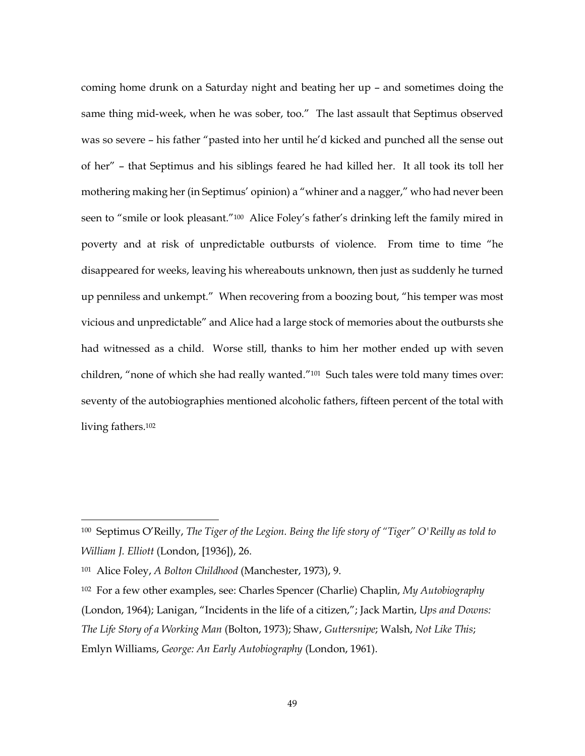coming home drunk on a Saturday night and beating her up – and sometimes doing the same thing mid-week, when he was sober, too." The last assault that Septimus observed was so severe – his father "pasted into her until he'd kicked and punched all the sense out of her" – that Septimus and his siblings feared he had killed her. It all took its toll her mothering making her (in Septimus' opinion) a "whiner and a nagger," who had never been seen to "smile or look pleasant."<sup>100</sup> Alice Foley's father's drinking left the family mired in poverty and at risk of unpredictable outbursts of violence. From time to time "he disappeared for weeks, leaving his whereabouts unknown, then just as suddenly he turned up penniless and unkempt." When recovering from a boozing bout, "his temper was most vicious and unpredictable" and Alice had a large stock of memories about the outbursts she had witnessed as a child. Worse still, thanks to him her mother ended up with seven children, "none of which she had really wanted."101 Such tales were told many times over: seventy of the autobiographies mentioned alcoholic fathers, fifteen percent of the total with living fathers.<sup>102</sup>

<sup>100</sup> Septimus O'Reilly, *The Tiger of the Legion. Being the life story of "Tiger" O'Reilly as told to William J. Elliott* (London, [1936]), 26.

<sup>101</sup> Alice Foley, *A Bolton Childhood* (Manchester, 1973), 9.

<sup>102</sup> For a few other examples, see: Charles Spencer (Charlie) Chaplin, *My Autobiography* (London, 1964); Lanigan, "Incidents in the life of a citizen,"; Jack Martin, *Ups and Downs: The Life Story of a Working Man* (Bolton, 1973); Shaw, *Guttersnipe*; Walsh, *Not Like This*; Emlyn Williams, *George: An Early Autobiography* (London, 1961).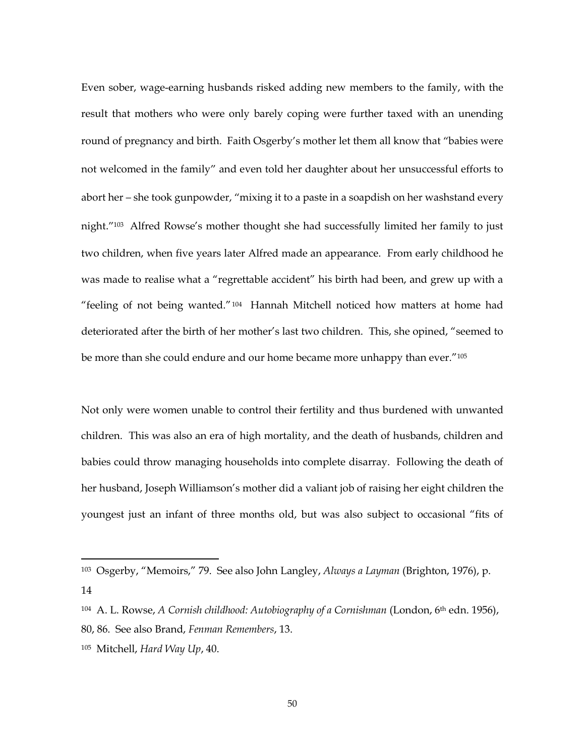Even sober, wage-earning husbands risked adding new members to the family, with the result that mothers who were only barely coping were further taxed with an unending round of pregnancy and birth. Faith Osgerby's mother let them all know that "babies were not welcomed in the family" and even told her daughter about her unsuccessful efforts to abort her – she took gunpowder, "mixing it to a paste in a soapdish on her washstand every night."<sup>103</sup> Alfred Rowse's mother thought she had successfully limited her family to just two children, when five years later Alfred made an appearance. From early childhood he was made to realise what a "regrettable accident" his birth had been, and grew up with a "feeling of not being wanted."<sup>104</sup> Hannah Mitchell noticed how matters at home had deteriorated after the birth of her mother's last two children. This, she opined, "seemed to be more than she could endure and our home became more unhappy than ever."<sup>105</sup>

Not only were women unable to control their fertility and thus burdened with unwanted children. This was also an era of high mortality, and the death of husbands, children and babies could throw managing households into complete disarray. Following the death of her husband, Joseph Williamson's mother did a valiant job of raising her eight children the youngest just an infant of three months old, but was also subject to occasional "fits of

14

<sup>103</sup> Osgerby, "Memoirs," 79. See also John Langley, *Always a Layman* (Brighton, 1976), p.

<sup>104</sup> A. L. Rowse, *A Cornish childhood: Autobiography of a Cornishman* (London, 6th edn. 1956),

<sup>80, 86.</sup> See also Brand, *Fenman Remembers*, 13.

<sup>105</sup> Mitchell, *Hard Way Up*, 40.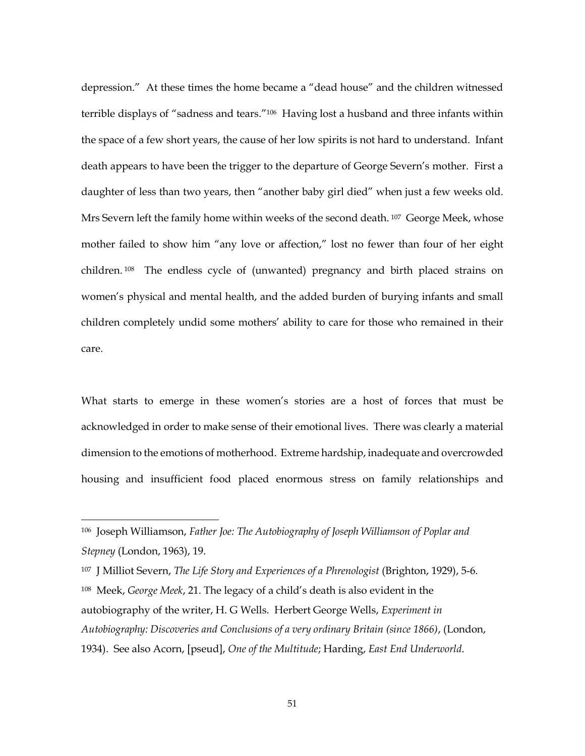depression." At these times the home became a "dead house" and the children witnessed terrible displays of "sadness and tears."106 Having lost a husband and three infants within the space of a few short years, the cause of her low spirits is not hard to understand. Infant death appears to have been the trigger to the departure of George Severn's mother. First a daughter of less than two years, then "another baby girl died" when just a few weeks old. Mrs Severn left the family home within weeks of the second death. <sup>107</sup> George Meek, whose mother failed to show him "any love or affection," lost no fewer than four of her eight children. <sup>108</sup> The endless cycle of (unwanted) pregnancy and birth placed strains on women's physical and mental health, and the added burden of burying infants and small children completely undid some mothers' ability to care for those who remained in their care.

What starts to emerge in these women's stories are a host of forces that must be acknowledged in order to make sense of their emotional lives. There was clearly a material dimension to the emotions of motherhood. Extreme hardship, inadequate and overcrowded housing and insufficient food placed enormous stress on family relationships and

<sup>106</sup> Joseph Williamson, *Father Joe: The Autobiography of Joseph Williamson of Poplar and Stepney* (London, 1963), 19.

<sup>107</sup> J Milliot Severn, *The Life Story and Experiences of a Phrenologist* (Brighton, 1929), 5-6. <sup>108</sup> Meek, *George Meek*, 21. The legacy of a child's death is also evident in the autobiography of the writer, H. G Wells. Herbert George Wells, *Experiment in Autobiography: Discoveries and Conclusions of a very ordinary Britain (since 1866)*, (London, 1934). See also Acorn, [pseud], *One of the Multitude*; Harding, *East End Underworld*.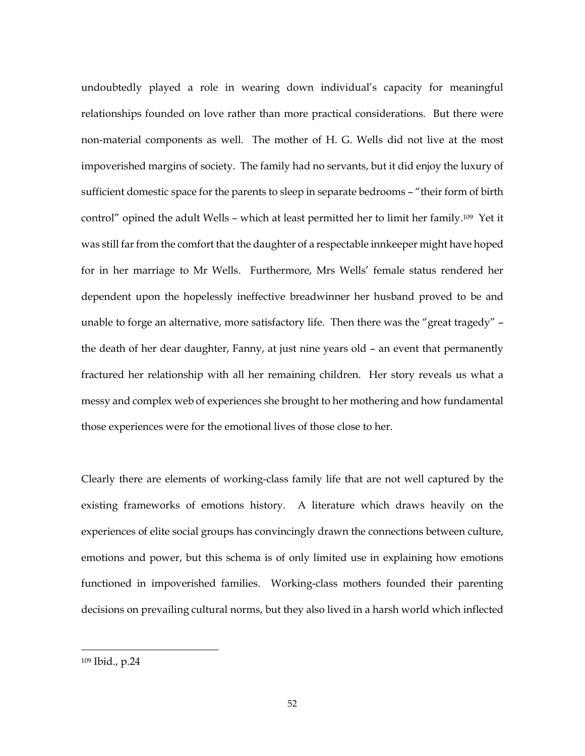undoubtedly played a role in wearing down individual's capacity for meaningful relationships founded on love rather than more practical considerations. But there were non-material components as well. The mother of H. G. Wells did not live at the most impoverished margins of society. The family had no servants, but it did enjoy the luxury of sufficient domestic space for the parents to sleep in separate bedrooms – "their form of birth control" opined the adult Wells – which at least permitted her to limit her family. <sup>109</sup> Yet it was still far from the comfort that the daughter of a respectable innkeeper might have hoped for in her marriage to Mr Wells. Furthermore, Mrs Wells' female status rendered her dependent upon the hopelessly ineffective breadwinner her husband proved to be and unable to forge an alternative, more satisfactory life. Then there was the "great tragedy" – the death of her dear daughter, Fanny, at just nine years old – an event that permanently fractured her relationship with all her remaining children. Her story reveals us what a messy and complex web of experiences she brought to her mothering and how fundamental those experiences were for the emotional lives of those close to her.

Clearly there are elements of working-class family life that are not well captured by the existing frameworks of emotions history. A literature which draws heavily on the experiences of elite social groups has convincingly drawn the connections between culture, emotions and power, but this schema is of only limited use in explaining how emotions functioned in impoverished families. Working-class mothers founded their parenting decisions on prevailing cultural norms, but they also lived in a harsh world which inflected

<sup>109</sup> Ibid., p.24